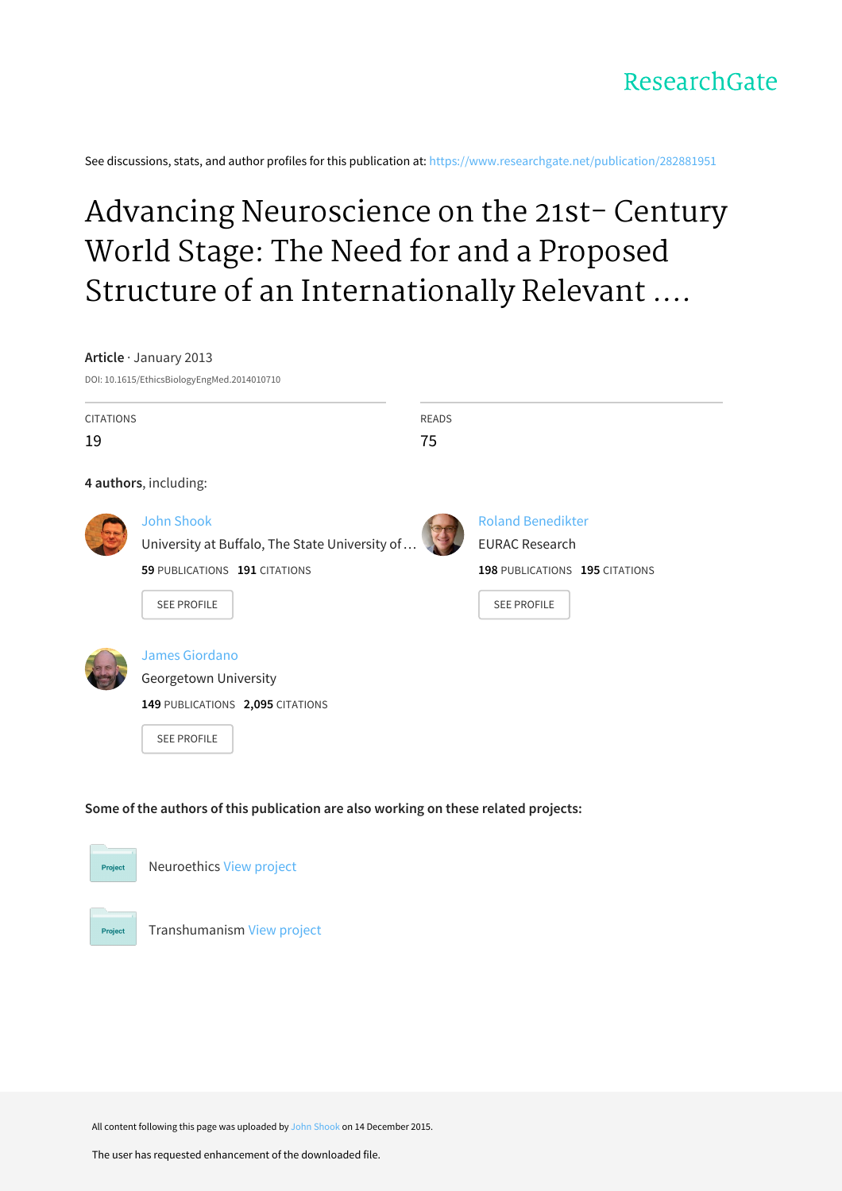

See discussions, stats, and author profiles for this publication at: [https://www.researchgate.net/publication/282881951](https://www.researchgate.net/publication/282881951_Advancing_Neuroscience_on_the_21st-_Century_World_Stage_The_Need_for_and_a_Proposed_Structure_of_an_Internationally_Relevant_Neuroethics?enrichId=rgreq-ffdefa5ec7ae505a9fbb2b34570c72ae-XXX&enrichSource=Y292ZXJQYWdlOzI4Mjg4MTk1MTtBUzozMDY1NTM2NjI0NDM1MjFAMTQ1MDA5OTQ5NjgwOA%3D%3D&el=1_x_2&_esc=publicationCoverPdf)

# Advancing Neuroscience on the 21st- Century World Stage: The Need for and a Proposed Structure of an Internationally Relevant ....

#### **Article** · January 2013

DOI: 10.1615/EthicsBiologyEngMed.2014010710

| <b>CITATIONS</b>                                                                    |                                                                                                   | <b>READS</b>                                         |  |  |  |  |  |
|-------------------------------------------------------------------------------------|---------------------------------------------------------------------------------------------------|------------------------------------------------------|--|--|--|--|--|
| 19                                                                                  |                                                                                                   | 75                                                   |  |  |  |  |  |
|                                                                                     | 4 authors, including:                                                                             |                                                      |  |  |  |  |  |
|                                                                                     | <b>John Shook</b><br>University at Buffalo, The State University of.                              | <b>Roland Benedikter</b><br><b>EURAC Research</b>    |  |  |  |  |  |
|                                                                                     | 59 PUBLICATIONS 191 CITATIONS<br><b>SEE PROFILE</b>                                               | 198 PUBLICATIONS 195 CITATIONS<br><b>SEE PROFILE</b> |  |  |  |  |  |
|                                                                                     | James Giordano<br>Georgetown University<br>149 PUBLICATIONS 2,095 CITATIONS<br><b>SEE PROFILE</b> |                                                      |  |  |  |  |  |
| Some of the authors of this publication are also working on these related projects: |                                                                                                   |                                                      |  |  |  |  |  |
| <b>Project</b>                                                                      | Neuroethics View project                                                                          |                                                      |  |  |  |  |  |



All content following this page was uploaded by John [Shook](https://www.researchgate.net/profile/John_Shook-SUNY_Buffalo?enrichId=rgreq-ffdefa5ec7ae505a9fbb2b34570c72ae-XXX&enrichSource=Y292ZXJQYWdlOzI4Mjg4MTk1MTtBUzozMDY1NTM2NjI0NDM1MjFAMTQ1MDA5OTQ5NjgwOA%3D%3D&el=1_x_10&_esc=publicationCoverPdf) on 14 December 2015.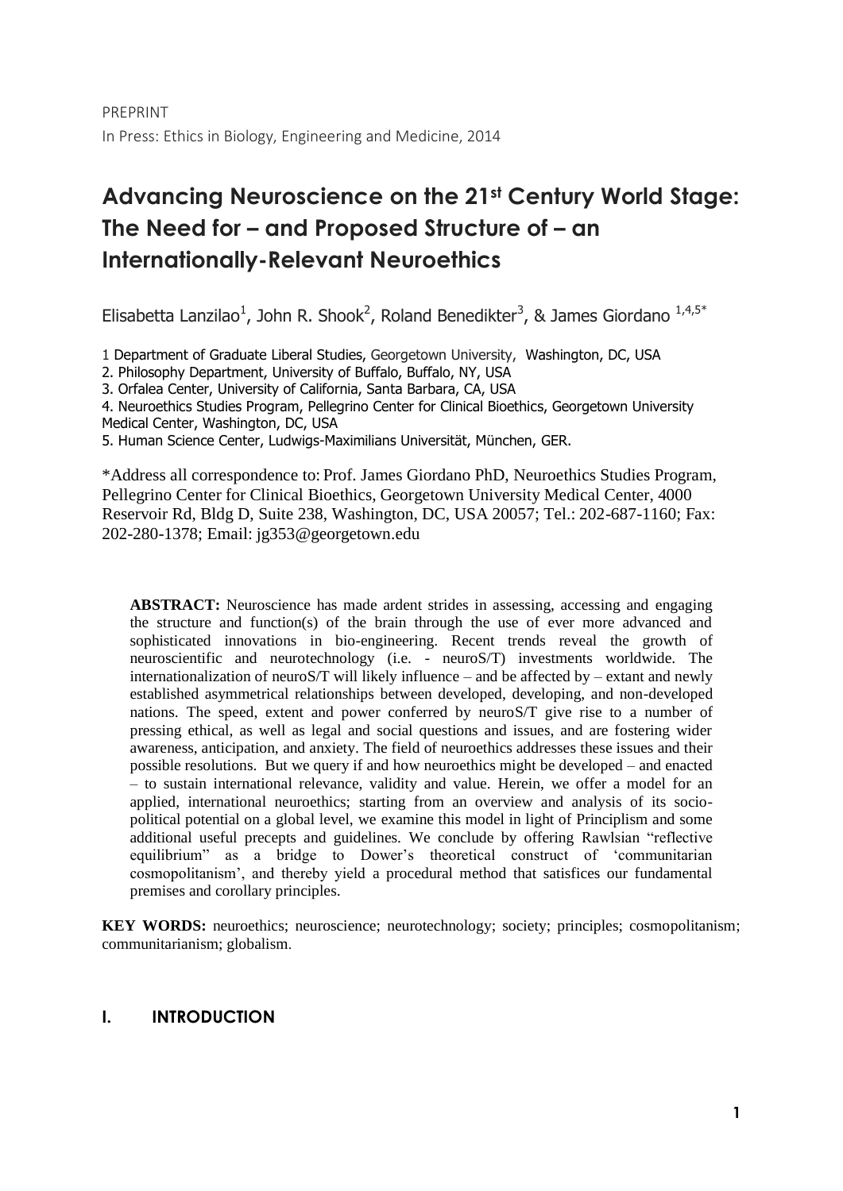# **Advancing Neuroscience on the 21st Century World Stage: The Need for – and Proposed Structure of – an Internationally-Relevant Neuroethics**

Elisabetta Lanzilao<sup>1</sup>, John R. Shook<sup>2</sup>, Roland Benedikter<sup>3</sup>, & James Giordano  $1.4.5*$ 

1 Department of Graduate Liberal Studies, Georgetown University, Washington, DC, USA

2. Philosophy Department, University of Buffalo, Buffalo, NY, USA

3. Orfalea Center, University of California, Santa Barbara, CA, USA

4. Neuroethics Studies Program, Pellegrino Center for Clinical Bioethics, Georgetown University Medical Center, Washington, DC, USA

5. Human Science Center, Ludwigs-Maximilians Universität, München, GER.

\*Address all correspondence to: Prof. James Giordano PhD, Neuroethics Studies Program, Pellegrino Center for Clinical Bioethics, Georgetown University Medical Center, 4000 Reservoir Rd, Bldg D, Suite 238, Washington, DC, USA 20057; Tel.: 202-687-1160; Fax: 202-280-1378; Email: jg353@georgetown.edu

**ABSTRACT:** Neuroscience has made ardent strides in assessing, accessing and engaging the structure and function(s) of the brain through the use of ever more advanced and sophisticated innovations in bio-engineering. Recent trends reveal the growth of neuroscientific and neurotechnology (i.e. - neuroS/T) investments worldwide. The internationalization of neuroS/T will likely influence – and be affected by – extant and newly established asymmetrical relationships between developed, developing, and non-developed nations. The speed, extent and power conferred by neuroS/T give rise to a number of pressing ethical, as well as legal and social questions and issues, and are fostering wider awareness, anticipation, and anxiety. The field of neuroethics addresses these issues and their possible resolutions. But we query if and how neuroethics might be developed – and enacted – to sustain international relevance, validity and value. Herein, we offer a model for an applied, international neuroethics; starting from an overview and analysis of its sociopolitical potential on a global level, we examine this model in light of Principlism and some additional useful precepts and guidelines. We conclude by offering Rawlsian "reflective equilibrium" as a bridge to Dower's theoretical construct of 'communitarian cosmopolitanism', and thereby yield a procedural method that satisfices our fundamental premises and corollary principles.

**KEY WORDS:** neuroethics; neuroscience; neurotechnology; society; principles; cosmopolitanism; communitarianism; globalism.

# **I. INTRODUCTION**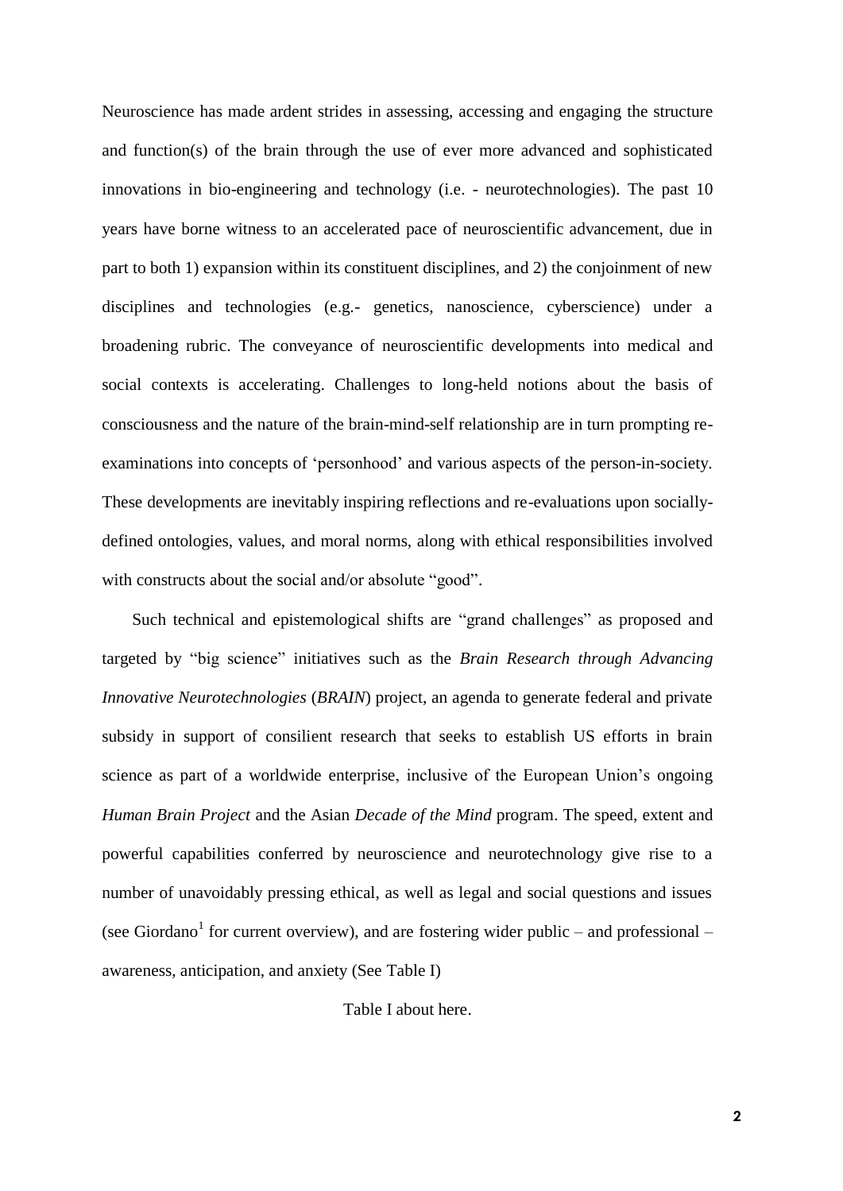Neuroscience has made ardent strides in assessing, accessing and engaging the structure and function(s) of the brain through the use of ever more advanced and sophisticated innovations in bio-engineering and technology (i.e. - neurotechnologies). The past 10 years have borne witness to an accelerated pace of neuroscientific advancement, due in part to both 1) expansion within its constituent disciplines, and 2) the conjoinment of new disciplines and technologies (e.g.- genetics, nanoscience, cyberscience) under a broadening rubric. The conveyance of neuroscientific developments into medical and social contexts is accelerating. Challenges to long-held notions about the basis of consciousness and the nature of the brain-mind-self relationship are in turn prompting reexaminations into concepts of 'personhood' and various aspects of the person-in-society. These developments are inevitably inspiring reflections and re-evaluations upon sociallydefined ontologies, values, and moral norms, along with ethical responsibilities involved with constructs about the social and/or absolute "good".

Such technical and epistemological shifts are "grand challenges" as proposed and targeted by "big science" initiatives such as the *Brain Research through Advancing Innovative Neurotechnologies* (*BRAIN*) project, an agenda to generate federal and private subsidy in support of consilient research that seeks to establish US efforts in brain science as part of a worldwide enterprise, inclusive of the European Union's ongoing *Human Brain Project* and the Asian *Decade of the Mind* program. The speed, extent and powerful capabilities conferred by neuroscience and neurotechnology give rise to a number of unavoidably pressing ethical, as well as legal and social questions and issues (see Giordano<sup>1</sup> for current overview), and are fostering wider public – and professional – awareness, anticipation, and anxiety (See Table I)

Table I about here.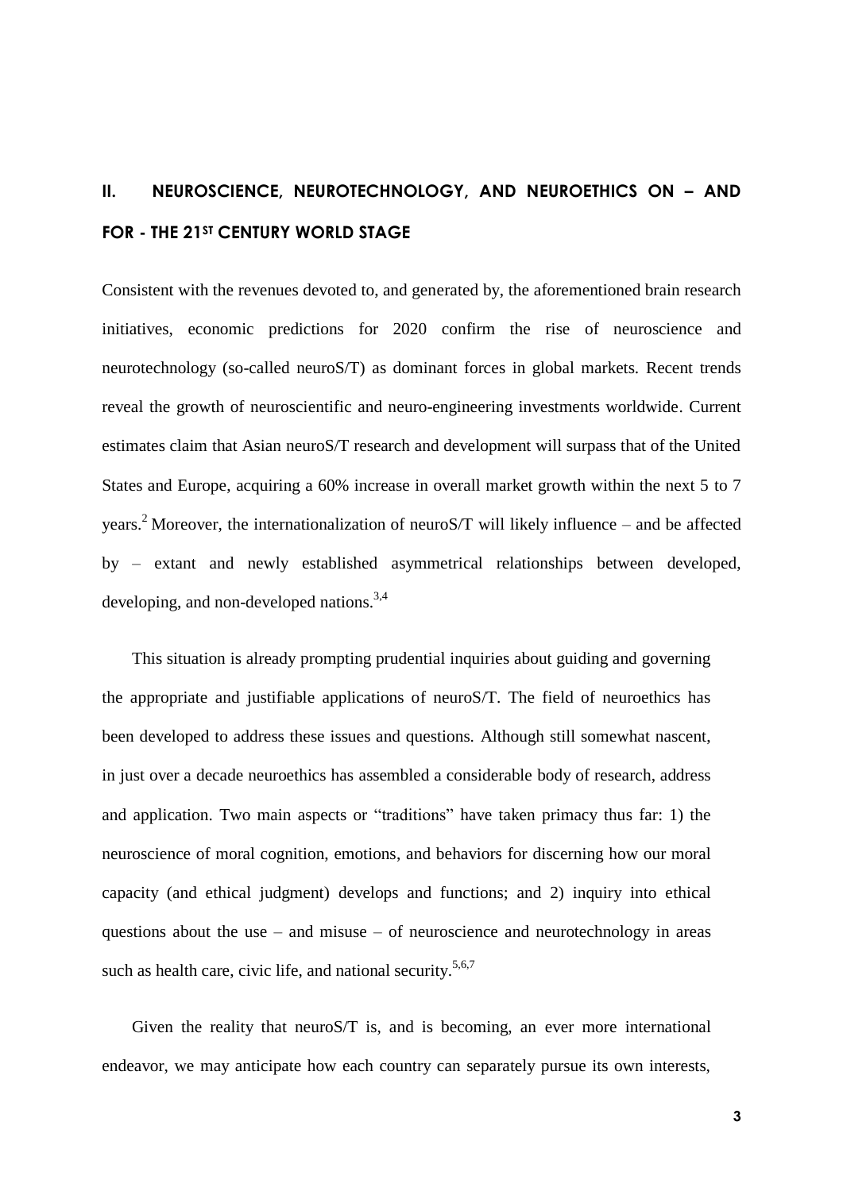# **II. NEUROSCIENCE, NEUROTECHNOLOGY, AND NEUROETHICS ON – AND FOR - THE 21ST CENTURY WORLD STAGE**

Consistent with the revenues devoted to, and generated by, the aforementioned brain research initiatives, economic predictions for 2020 confirm the rise of neuroscience and neurotechnology (so-called neuroS/T) as dominant forces in global markets. Recent trends reveal the growth of neuroscientific and neuro-engineering investments worldwide. Current estimates claim that Asian neuroS/T research and development will surpass that of the United States and Europe, acquiring a 60% increase in overall market growth within the next 5 to 7 years.<sup>2</sup> Moreover, the internationalization of neuroS/T will likely influence – and be affected by – extant and newly established asymmetrical relationships between developed, developing, and non-developed nations.<sup>3,4</sup>

This situation is already prompting prudential inquiries about guiding and governing the appropriate and justifiable applications of neuroS/T. The field of neuroethics has been developed to address these issues and questions. Although still somewhat nascent, in just over a decade neuroethics has assembled a considerable body of research, address and application. Two main aspects or "traditions" have taken primacy thus far: 1) the neuroscience of moral cognition, emotions, and behaviors for discerning how our moral capacity (and ethical judgment) develops and functions; and 2) inquiry into ethical questions about the use – and misuse – of neuroscience and neurotechnology in areas such as health care, civic life, and national security.<sup>5,6,7</sup>

Given the reality that neuroS/T is, and is becoming, an ever more international endeavor, we may anticipate how each country can separately pursue its own interests,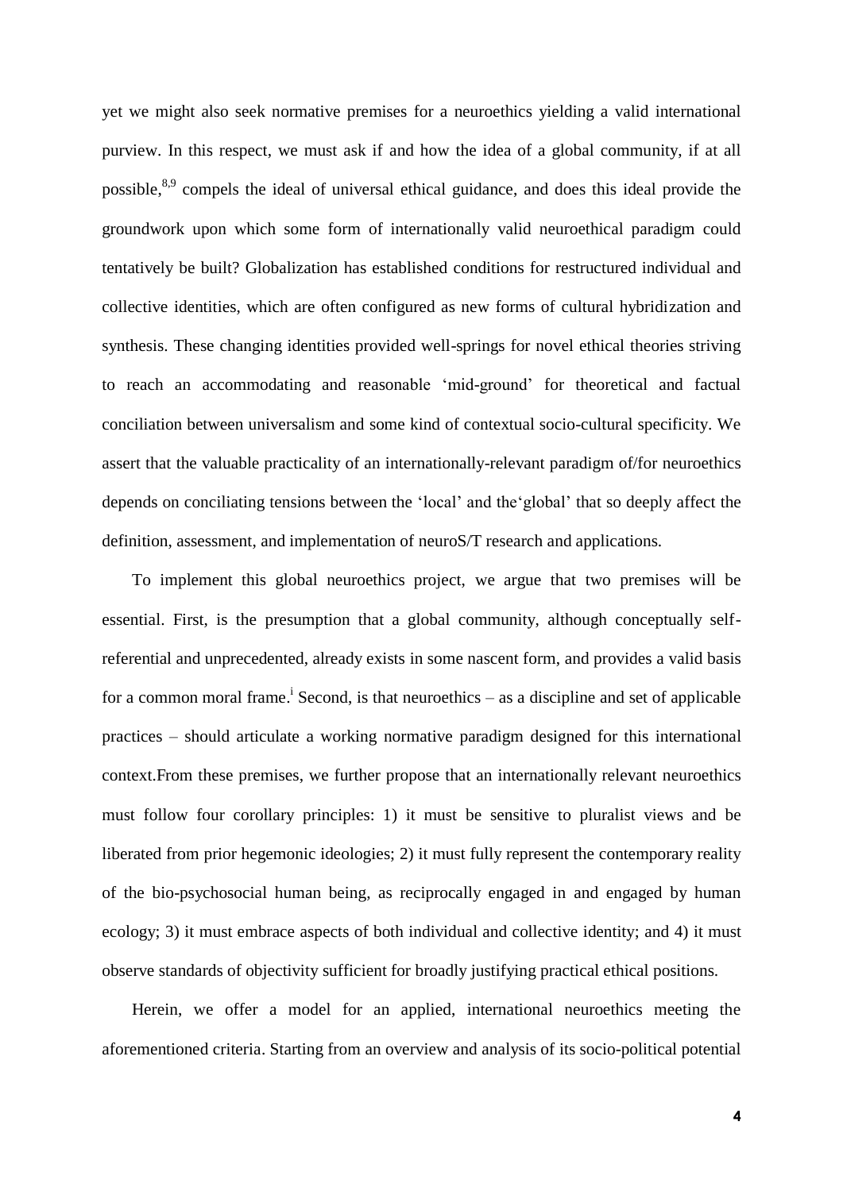yet we might also seek normative premises for a neuroethics yielding a valid international purview. In this respect, we must ask if and how the idea of a global community, if at all possible,<sup>8,9</sup> compels the ideal of universal ethical guidance, and does this ideal provide the groundwork upon which some form of internationally valid neuroethical paradigm could tentatively be built? Globalization has established conditions for restructured individual and collective identities, which are often configured as new forms of cultural hybridization and synthesis. These changing identities provided well-springs for novel ethical theories striving to reach an accommodating and reasonable 'mid-ground' for theoretical and factual conciliation between universalism and some kind of contextual socio-cultural specificity. We assert that the valuable practicality of an internationally-relevant paradigm of/for neuroethics depends on conciliating tensions between the 'local' and the'global' that so deeply affect the definition, assessment, and implementation of neuroS/T research and applications.

To implement this global neuroethics project, we argue that two premises will be essential. First, is the presumption that a global community, although conceptually selfreferential and unprecedented, already exists in some nascent form, and provides a valid basis for a common moral frame.<sup>1</sup> Second, is that neuroethics  $-$  as a discipline and set of applicable practices – should articulate a working normative paradigm designed for this international context.From these premises, we further propose that an internationally relevant neuroethics must follow four corollary principles: 1) it must be sensitive to pluralist views and be liberated from prior hegemonic ideologies; 2) it must fully represent the contemporary reality of the bio-psychosocial human being, as reciprocally engaged in and engaged by human ecology; 3) it must embrace aspects of both individual and collective identity; and 4) it must observe standards of objectivity sufficient for broadly justifying practical ethical positions.

Herein, we offer a model for an applied, international neuroethics meeting the aforementioned criteria. Starting from an overview and analysis of its socio-political potential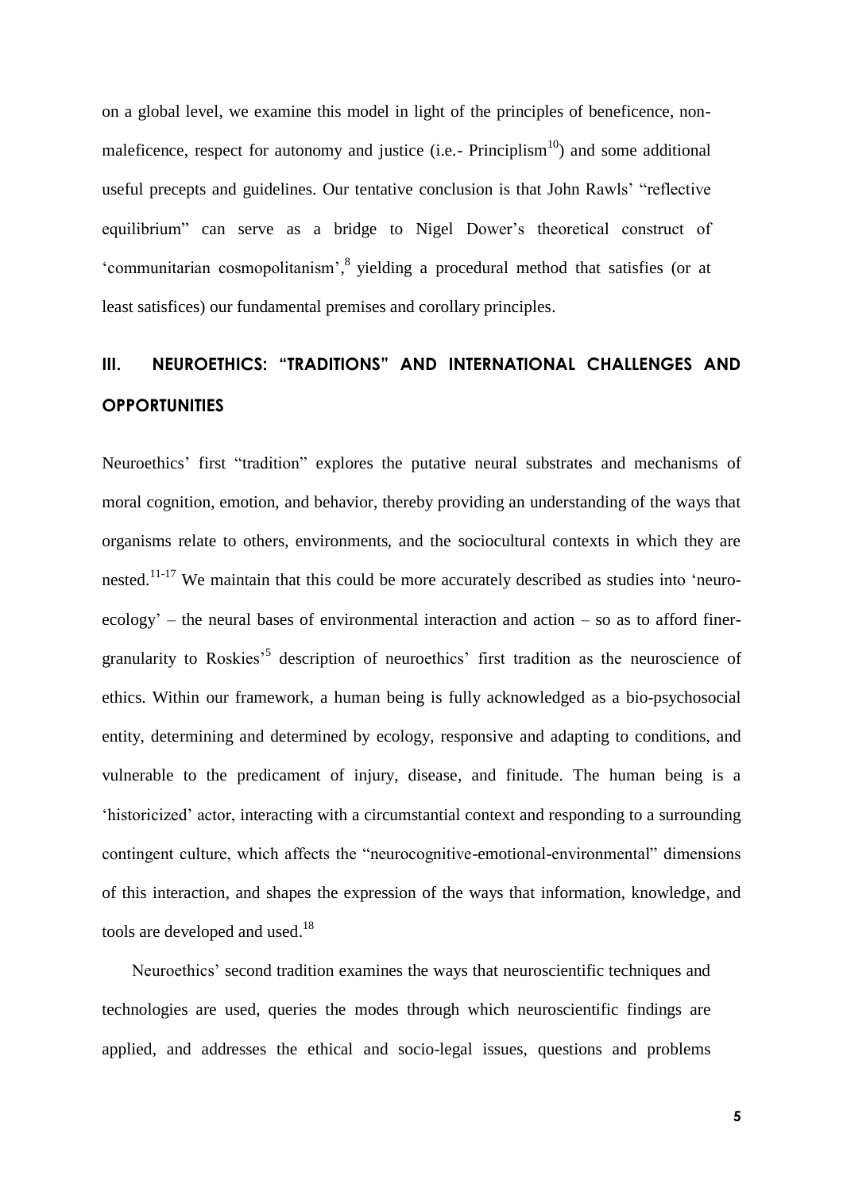on a global level, we examine this model in light of the principles of beneficence, nonmaleficence, respect for autonomy and justice (i.e.-  $Principlism<sup>10</sup>$ ) and some additional useful precepts and guidelines. Our tentative conclusion is that John Rawls' "reflective equilibrium" can serve as a bridge to Nigel Dower's theoretical construct of 'communitarian cosmopolitanism', <sup>8</sup> yielding a procedural method that satisfies (or at least satisfices) our fundamental premises and corollary principles.

# **III. NEUROETHICS: "TRADITIONS" AND INTERNATIONAL CHALLENGES AND OPPORTUNITIES**

Neuroethics' first "tradition" explores the putative neural substrates and mechanisms of moral cognition, emotion, and behavior, thereby providing an understanding of the ways that organisms relate to others, environments, and the sociocultural contexts in which they are nested.<sup>11-17</sup> We maintain that this could be more accurately described as studies into 'neuroecology' – the neural bases of environmental interaction and action – so as to afford finergranularity to Roskies<sup>55</sup> description of neuroethics' first tradition as the neuroscience of ethics. Within our framework, a human being is fully acknowledged as a bio-psychosocial entity, determining and determined by ecology, responsive and adapting to conditions, and vulnerable to the predicament of injury, disease, and finitude. The human being is a 'historicized' actor, interacting with a circumstantial context and responding to a surrounding contingent culture, which affects the "neurocognitive-emotional-environmental" dimensions of this interaction, and shapes the expression of the ways that information, knowledge, and tools are developed and used.<sup>18</sup>

Neuroethics' second tradition examines the ways that neuroscientific techniques and technologies are used, queries the modes through which neuroscientific findings are applied, and addresses the ethical and socio-legal issues, questions and problems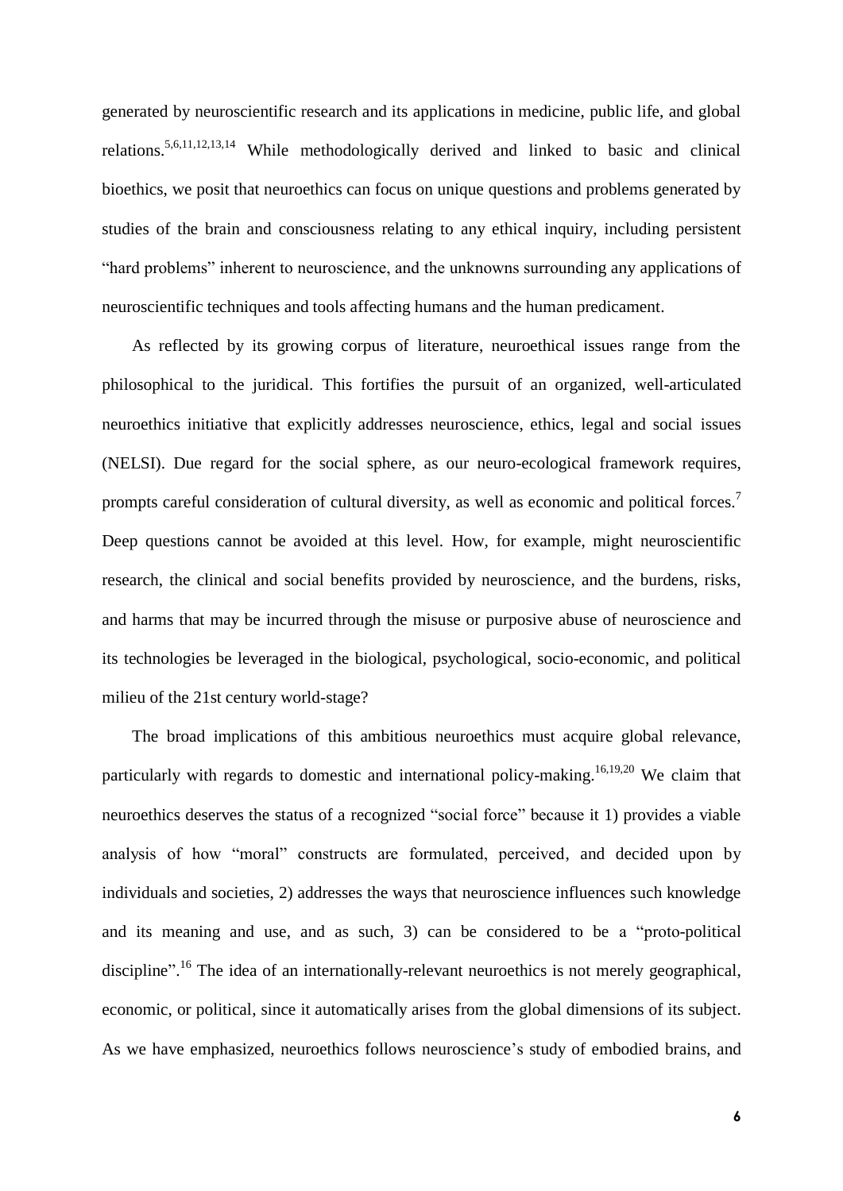generated by neuroscientific research and its applications in medicine, public life, and global relations.<sup>5,6,11,12,13,14</sup> While methodologically derived and linked to basic and clinical bioethics, we posit that neuroethics can focus on unique questions and problems generated by studies of the brain and consciousness relating to any ethical inquiry, including persistent "hard problems" inherent to neuroscience, and the unknowns surrounding any applications of neuroscientific techniques and tools affecting humans and the human predicament.

As reflected by its growing corpus of literature, neuroethical issues range from the philosophical to the juridical. This fortifies the pursuit of an organized, well-articulated neuroethics initiative that explicitly addresses neuroscience, ethics, legal and social issues (NELSI). Due regard for the social sphere, as our neuro-ecological framework requires, prompts careful consideration of cultural diversity, as well as economic and political forces.<sup>7</sup> Deep questions cannot be avoided at this level. How, for example, might neuroscientific research, the clinical and social benefits provided by neuroscience, and the burdens, risks, and harms that may be incurred through the misuse or purposive abuse of neuroscience and its technologies be leveraged in the biological, psychological, socio-economic, and political milieu of the 21st century world-stage?

The broad implications of this ambitious neuroethics must acquire global relevance, particularly with regards to domestic and international policy-making.<sup>16,19,20</sup> We claim that neuroethics deserves the status of a recognized "social force" because it 1) provides a viable analysis of how "moral" constructs are formulated, perceived, and decided upon by individuals and societies, 2) addresses the ways that neuroscience influences such knowledge and its meaning and use, and as such, 3) can be considered to be a "proto-political discipline".<sup>16</sup> The idea of an internationally-relevant neuroethics is not merely geographical, economic, or political, since it automatically arises from the global dimensions of its subject. As we have emphasized, neuroethics follows neuroscience's study of embodied brains, and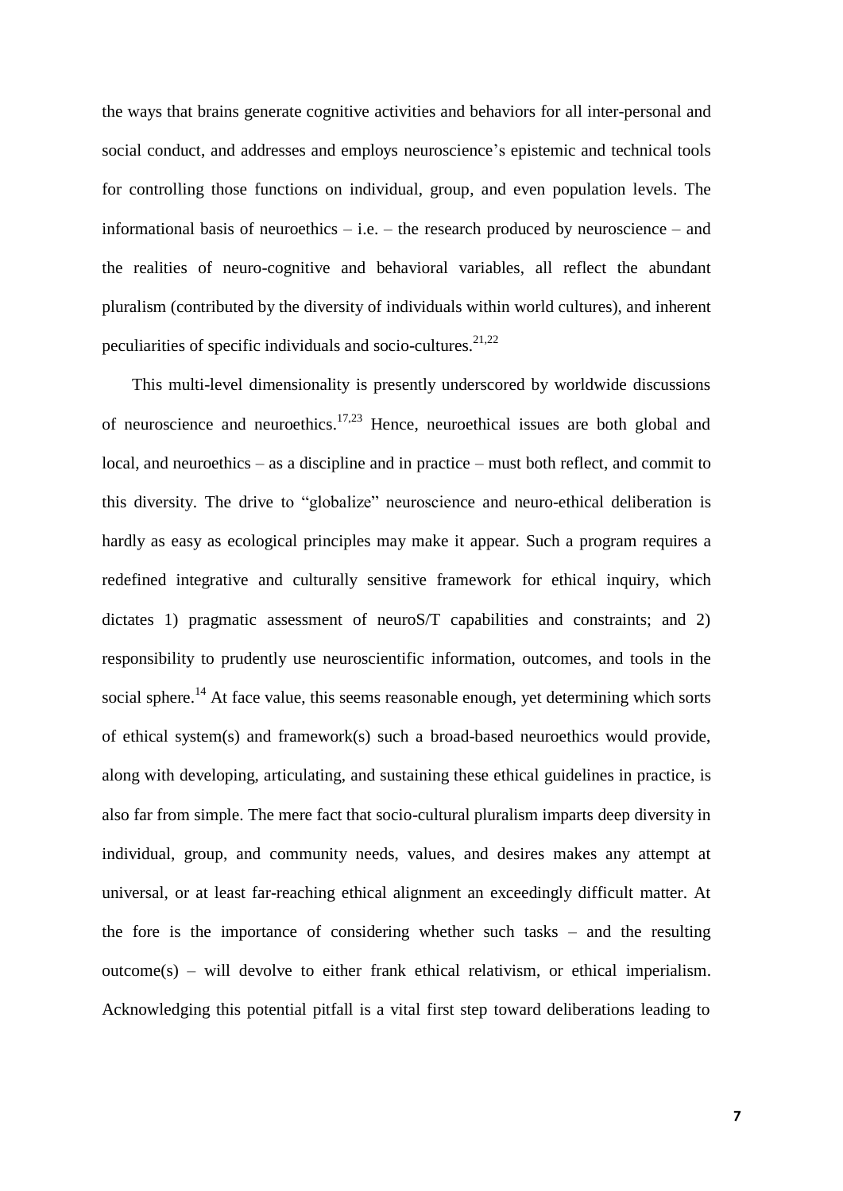the ways that brains generate cognitive activities and behaviors for all inter-personal and social conduct, and addresses and employs neuroscience's epistemic and technical tools for controlling those functions on individual, group, and even population levels. The informational basis of neuroethics – i.e. – the research produced by neuroscience – and the realities of neuro-cognitive and behavioral variables, all reflect the abundant pluralism (contributed by the diversity of individuals within world cultures), and inherent peculiarities of specific individuals and socio-cultures.<sup>21,22</sup>

This multi-level dimensionality is presently underscored by worldwide discussions of neuroscience and neuroethics.<sup>17,23</sup> Hence, neuroethical issues are both global and local, and neuroethics – as a discipline and in practice – must both reflect, and commit to this diversity. The drive to "globalize" neuroscience and neuro-ethical deliberation is hardly as easy as ecological principles may make it appear. Such a program requires a redefined integrative and culturally sensitive framework for ethical inquiry, which dictates 1) pragmatic assessment of neuroS/T capabilities and constraints; and 2) responsibility to prudently use neuroscientific information, outcomes, and tools in the social sphere.<sup>14</sup> At face value, this seems reasonable enough, yet determining which sorts of ethical system(s) and framework(s) such a broad-based neuroethics would provide, along with developing, articulating, and sustaining these ethical guidelines in practice, is also far from simple. The mere fact that socio-cultural pluralism imparts deep diversity in individual, group, and community needs, values, and desires makes any attempt at universal, or at least far-reaching ethical alignment an exceedingly difficult matter. At the fore is the importance of considering whether such tasks – and the resulting outcome(s) – will devolve to either frank ethical relativism, or ethical imperialism. Acknowledging this potential pitfall is a vital first step toward deliberations leading to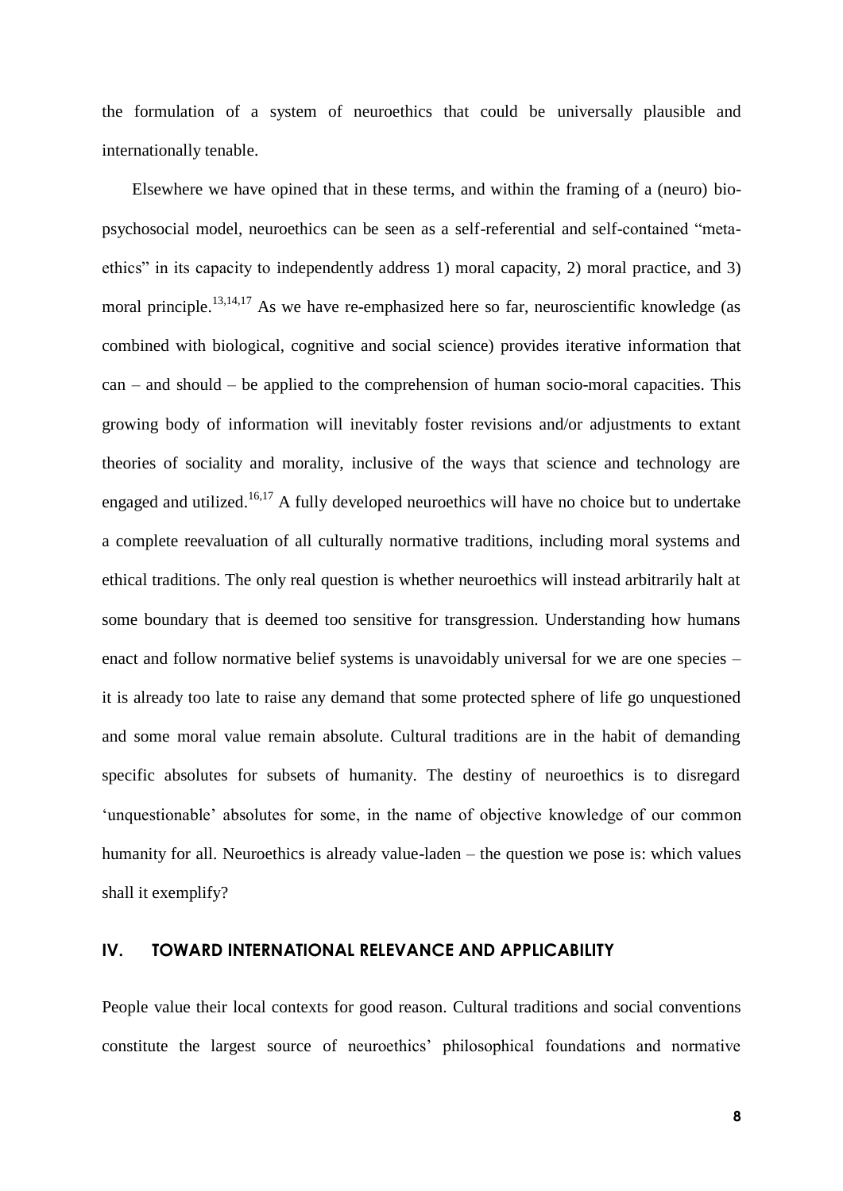the formulation of a system of neuroethics that could be universally plausible and internationally tenable.

Elsewhere we have opined that in these terms, and within the framing of a (neuro) biopsychosocial model, neuroethics can be seen as a self-referential and self-contained "metaethics" in its capacity to independently address 1) moral capacity, 2) moral practice, and 3) moral principle.<sup>13,14,17</sup> As we have re-emphasized here so far, neuroscientific knowledge (as combined with biological, cognitive and social science) provides iterative information that can – and should – be applied to the comprehension of human socio-moral capacities. This growing body of information will inevitably foster revisions and/or adjustments to extant theories of sociality and morality, inclusive of the ways that science and technology are engaged and utilized.<sup>16,17</sup> A fully developed neuroethics will have no choice but to undertake a complete reevaluation of all culturally normative traditions, including moral systems and ethical traditions. The only real question is whether neuroethics will instead arbitrarily halt at some boundary that is deemed too sensitive for transgression. Understanding how humans enact and follow normative belief systems is unavoidably universal for we are one species – it is already too late to raise any demand that some protected sphere of life go unquestioned and some moral value remain absolute. Cultural traditions are in the habit of demanding specific absolutes for subsets of humanity. The destiny of neuroethics is to disregard 'unquestionable' absolutes for some, in the name of objective knowledge of our common humanity for all. Neuroethics is already value-laden – the question we pose is: which values shall it exemplify?

### **IV. TOWARD INTERNATIONAL RELEVANCE AND APPLICABILITY**

People value their local contexts for good reason. Cultural traditions and social conventions constitute the largest source of neuroethics' philosophical foundations and normative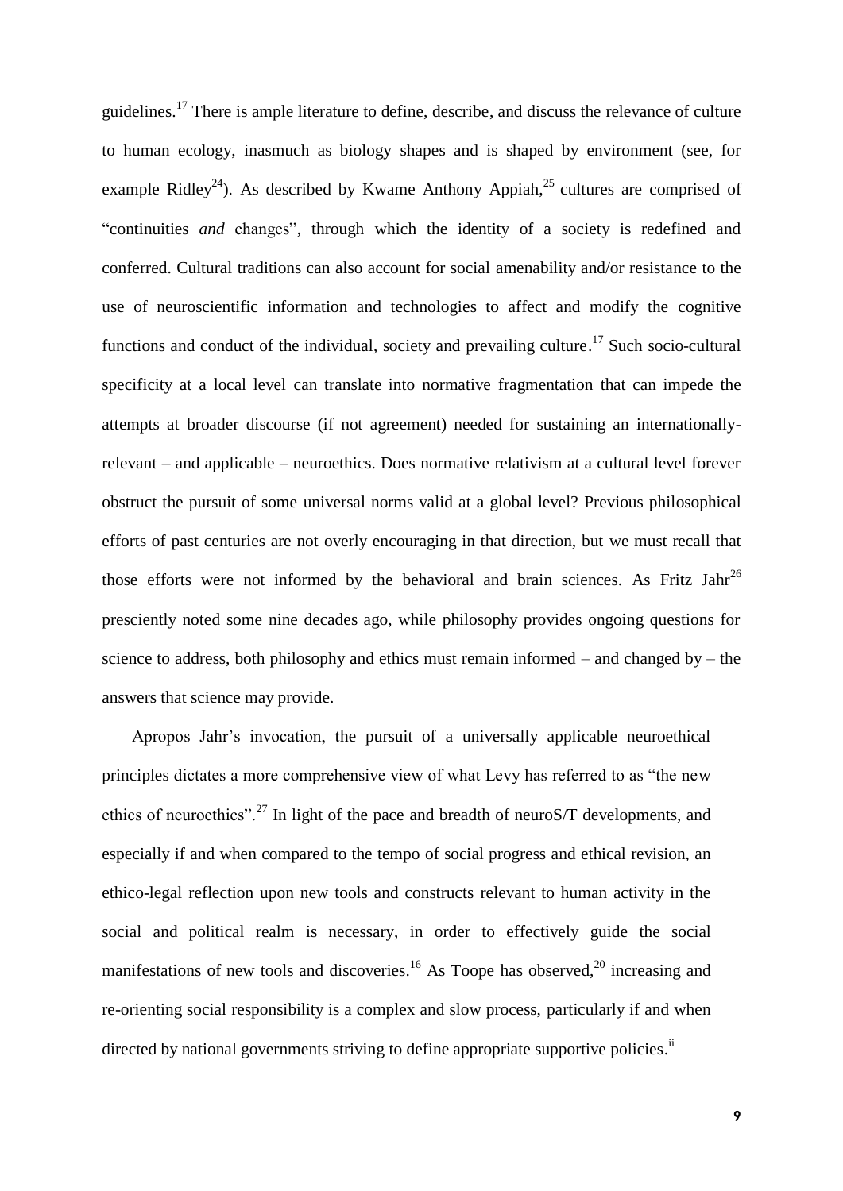guidelines.<sup>17</sup> There is ample literature to define, describe, and discuss the relevance of culture to human ecology, inasmuch as biology shapes and is shaped by environment (see, for example Ridley<sup>24</sup>). As described by Kwame Anthony Appiah,<sup>25</sup> cultures are comprised of "continuities *and* changes", through which the identity of a society is redefined and conferred. Cultural traditions can also account for social amenability and/or resistance to the use of neuroscientific information and technologies to affect and modify the cognitive functions and conduct of the individual, society and prevailing culture.<sup>17</sup> Such socio-cultural specificity at a local level can translate into normative fragmentation that can impede the attempts at broader discourse (if not agreement) needed for sustaining an internationallyrelevant – and applicable – neuroethics. Does normative relativism at a cultural level forever obstruct the pursuit of some universal norms valid at a global level? Previous philosophical efforts of past centuries are not overly encouraging in that direction, but we must recall that those efforts were not informed by the behavioral and brain sciences. As Fritz Jahr<sup>26</sup> presciently noted some nine decades ago, while philosophy provides ongoing questions for science to address, both philosophy and ethics must remain informed – and changed by – the answers that science may provide.

Apropos Jahr's invocation, the pursuit of a universally applicable neuroethical principles dictates a more comprehensive view of what Levy has referred to as "the new ethics of neuroethics".<sup>27</sup> In light of the pace and breadth of neuroS/T developments, and especially if and when compared to the tempo of social progress and ethical revision, an ethico-legal reflection upon new tools and constructs relevant to human activity in the social and political realm is necessary, in order to effectively guide the social manifestations of new tools and discoveries.<sup>16</sup> As Toope has observed,<sup>20</sup> increasing and re-orienting social responsibility is a complex and slow process, particularly if and when directed by national governments striving to define appropriate supportive policies.<sup>ii</sup>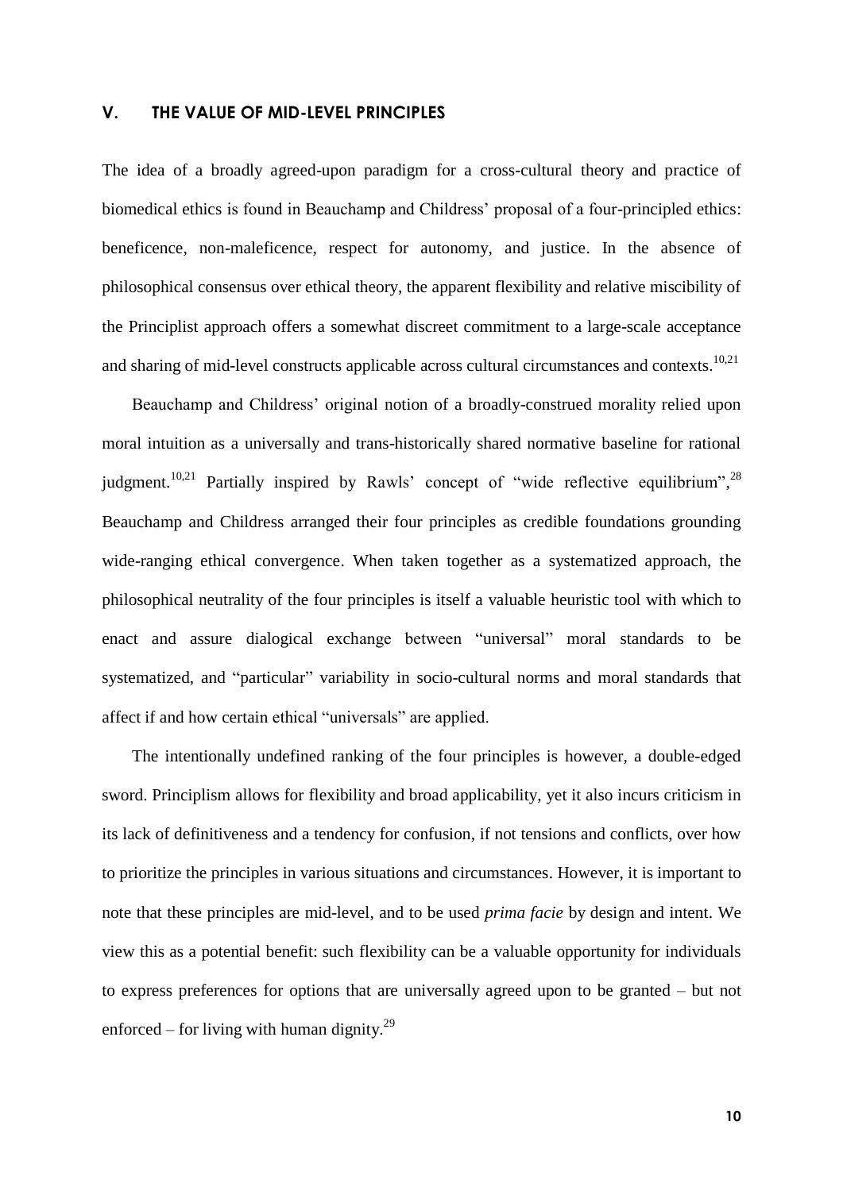#### **V. THE VALUE OF MID-LEVEL PRINCIPLES**

The idea of a broadly agreed-upon paradigm for a cross-cultural theory and practice of biomedical ethics is found in Beauchamp and Childress' proposal of a four-principled ethics: beneficence, non-maleficence, respect for autonomy, and justice. In the absence of philosophical consensus over ethical theory, the apparent flexibility and relative miscibility of the Principlist approach offers a somewhat discreet commitment to a large-scale acceptance and sharing of mid-level constructs applicable across cultural circumstances and contexts.<sup>10,21</sup>

Beauchamp and Childress' original notion of a broadly-construed morality relied upon moral intuition as a universally and trans-historically shared normative baseline for rational judgment.<sup>10,21</sup> Partially inspired by Rawls' concept of "wide reflective equilibrium",<sup>28</sup> Beauchamp and Childress arranged their four principles as credible foundations grounding wide-ranging ethical convergence. When taken together as a systematized approach, the philosophical neutrality of the four principles is itself a valuable heuristic tool with which to enact and assure dialogical exchange between "universal" moral standards to be systematized, and "particular" variability in socio-cultural norms and moral standards that affect if and how certain ethical "universals" are applied.

The intentionally undefined ranking of the four principles is however, a double-edged sword. Principlism allows for flexibility and broad applicability, yet it also incurs criticism in its lack of definitiveness and a tendency for confusion, if not tensions and conflicts, over how to prioritize the principles in various situations and circumstances. However, it is important to note that these principles are mid-level, and to be used *prima facie* by design and intent. We view this as a potential benefit: such flexibility can be a valuable opportunity for individuals to express preferences for options that are universally agreed upon to be granted – but not enforced – for living with human dignity. $^{29}$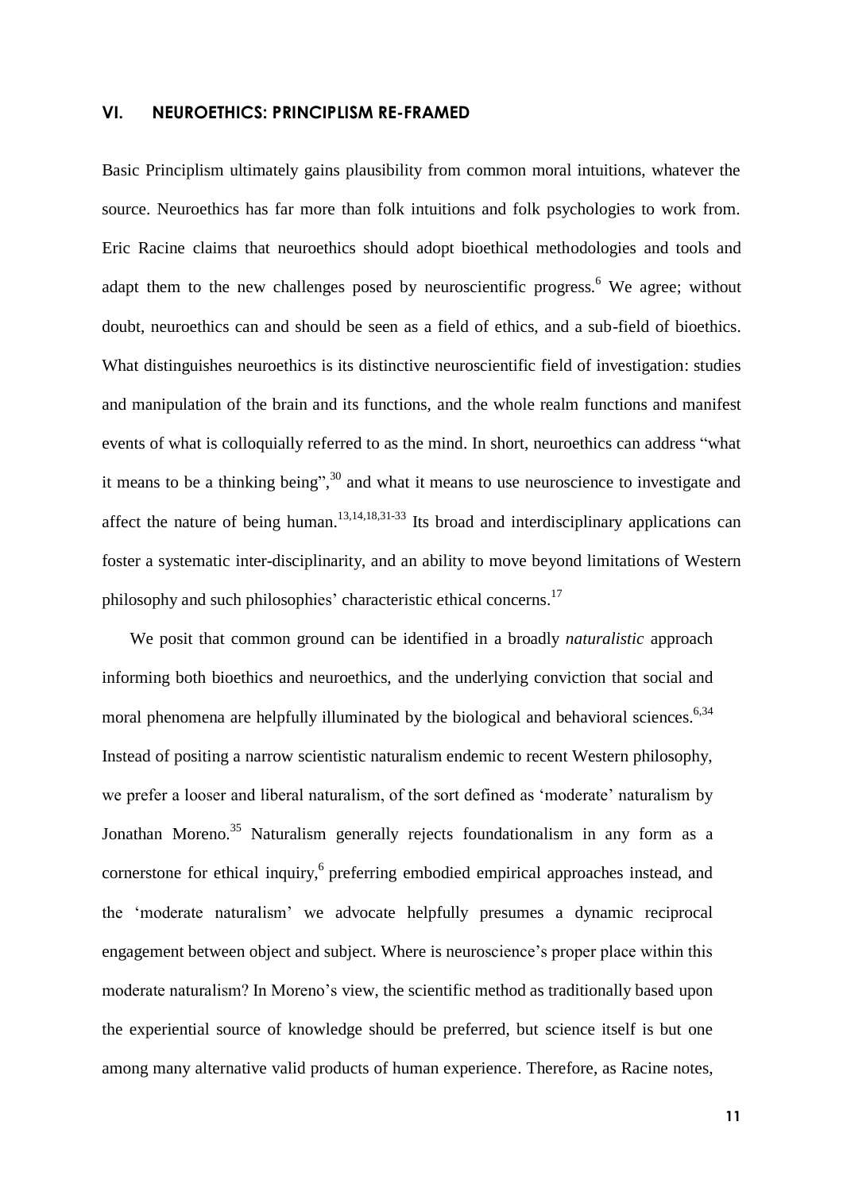#### **VI. NEUROETHICS: PRINCIPLISM RE-FRAMED**

Basic Principlism ultimately gains plausibility from common moral intuitions, whatever the source. Neuroethics has far more than folk intuitions and folk psychologies to work from. Eric Racine claims that neuroethics should adopt bioethical methodologies and tools and adapt them to the new challenges posed by neuroscientific progress.<sup>6</sup> We agree; without doubt, neuroethics can and should be seen as a field of ethics, and a sub-field of bioethics. What distinguishes neuroethics is its distinctive neuroscientific field of investigation: studies and manipulation of the brain and its functions, and the whole realm functions and manifest events of what is colloquially referred to as the mind. In short, neuroethics can address "what it means to be a thinking being",  $30$  and what it means to use neuroscience to investigate and affect the nature of being human.  $13,14,18,31-33$  Its broad and interdisciplinary applications can foster a systematic inter-disciplinarity, and an ability to move beyond limitations of Western philosophy and such philosophies' characteristic ethical concerns.<sup>17</sup>

We posit that common ground can be identified in a broadly *naturalistic* approach informing both bioethics and neuroethics, and the underlying conviction that social and moral phenomena are helpfully illuminated by the biological and behavioral sciences.<sup>6,34</sup> Instead of positing a narrow scientistic naturalism endemic to recent Western philosophy, we prefer a looser and liberal naturalism, of the sort defined as 'moderate' naturalism by Jonathan Moreno.<sup>35</sup> Naturalism generally rejects foundationalism in any form as a cornerstone for ethical inquiry,<sup>6</sup> preferring embodied empirical approaches instead, and the 'moderate naturalism' we advocate helpfully presumes a dynamic reciprocal engagement between object and subject. Where is neuroscience's proper place within this moderate naturalism? In Moreno's view, the scientific method as traditionally based upon the experiential source of knowledge should be preferred, but science itself is but one among many alternative valid products of human experience. Therefore, as Racine notes,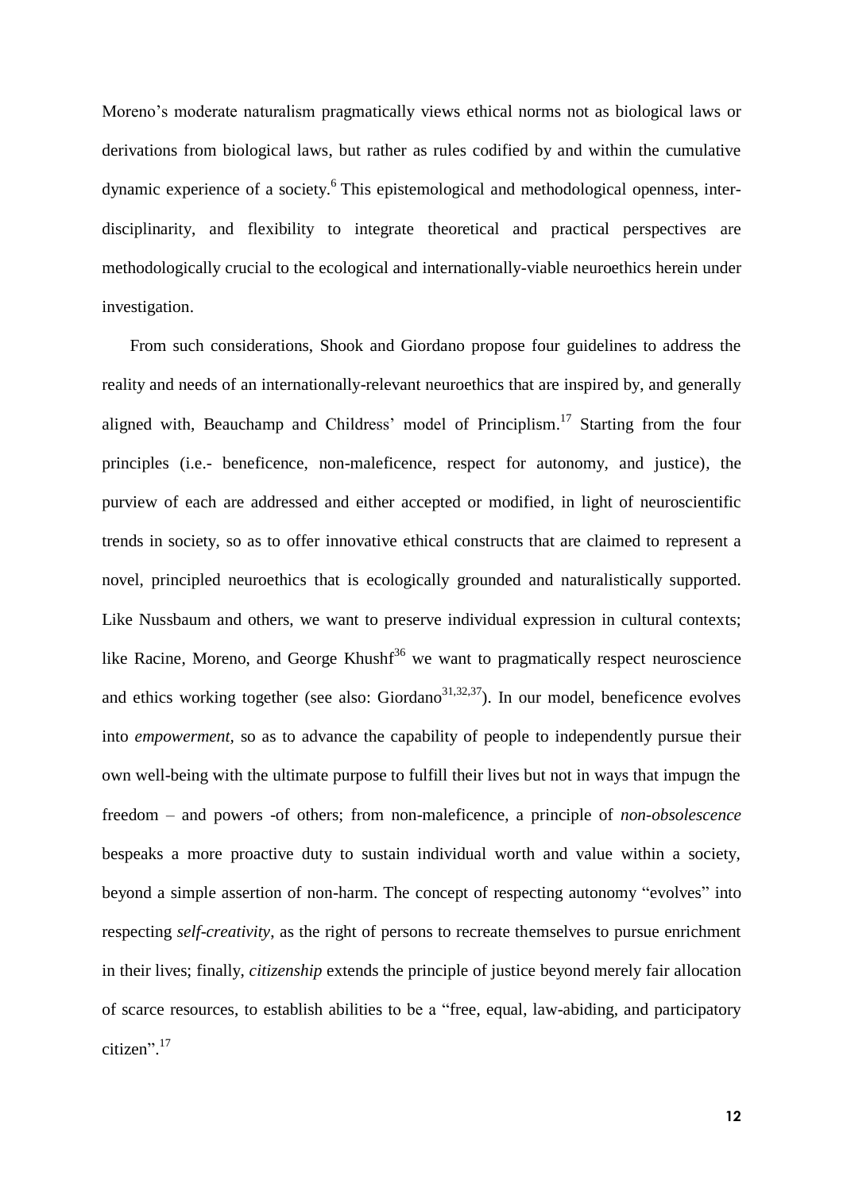Moreno's moderate naturalism pragmatically views ethical norms not as biological laws or derivations from biological laws, but rather as rules codified by and within the cumulative dynamic experience of a society.<sup>6</sup> This epistemological and methodological openness, interdisciplinarity, and flexibility to integrate theoretical and practical perspectives are methodologically crucial to the ecological and internationally-viable neuroethics herein under investigation.

From such considerations, Shook and Giordano propose four guidelines to address the reality and needs of an internationally-relevant neuroethics that are inspired by, and generally aligned with, Beauchamp and Childress' model of Principlism.<sup>17</sup> Starting from the four principles (i.e.- beneficence, non-maleficence, respect for autonomy, and justice), the purview of each are addressed and either accepted or modified, in light of neuroscientific trends in society, so as to offer innovative ethical constructs that are claimed to represent a novel, principled neuroethics that is ecologically grounded and naturalistically supported. Like Nussbaum and others, we want to preserve individual expression in cultural contexts; like Racine, Moreno, and George Khush $f^{36}$  we want to pragmatically respect neuroscience and ethics working together (see also: Giordano $31,32,37$ ). In our model, beneficence evolves into *empowerment,* so as to advance the capability of people to independently pursue their own well-being with the ultimate purpose to fulfill their lives but not in ways that impugn the freedom – and powers -of others; from non-maleficence, a principle of *non-obsolescence*  bespeaks a more proactive duty to sustain individual worth and value within a society, beyond a simple assertion of non-harm. The concept of respecting autonomy "evolves" into respecting *self-creativity*, as the right of persons to recreate themselves to pursue enrichment in their lives; finally, *citizenship* extends the principle of justice beyond merely fair allocation of scarce resources, to establish abilities to be a "free, equal, law-abiding, and participatory citizen". 17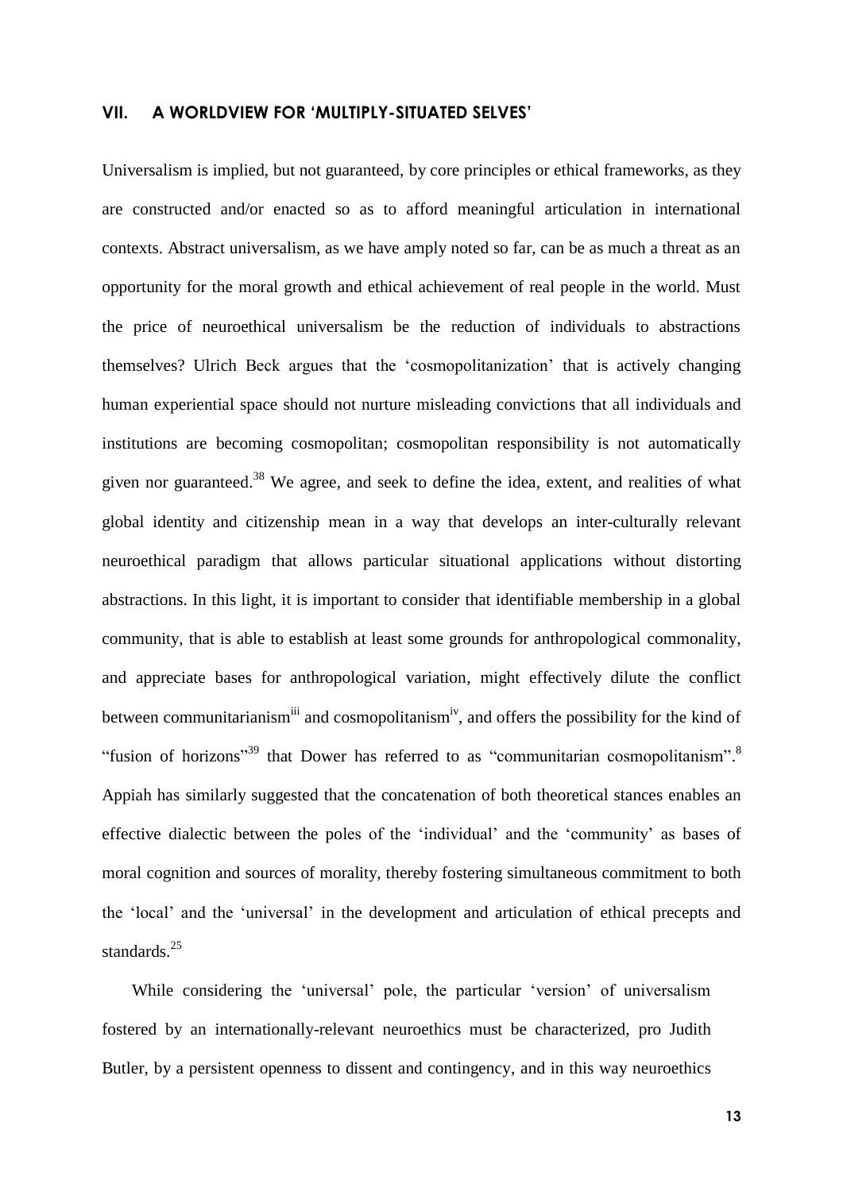#### **VII. A WORLDVIEW FOR 'MULTIPLY-SITUATED SELVES'**

Universalism is implied, but not guaranteed, by core principles or ethical frameworks, as they are constructed and/or enacted so as to afford meaningful articulation in international contexts. Abstract universalism, as we have amply noted so far, can be as much a threat as an opportunity for the moral growth and ethical achievement of real people in the world. Must the price of neuroethical universalism be the reduction of individuals to abstractions themselves? Ulrich Beck argues that the 'cosmopolitanization' that is actively changing human experiential space should not nurture misleading convictions that all individuals and institutions are becoming cosmopolitan; cosmopolitan responsibility is not automatically given nor guaranteed.<sup>38</sup> We agree, and seek to define the idea, extent, and realities of what global identity and citizenship mean in a way that develops an inter-culturally relevant neuroethical paradigm that allows particular situational applications without distorting abstractions. In this light, it is important to consider that identifiable membership in a global community, that is able to establish at least some grounds for anthropological commonality, and appreciate bases for anthropological variation, might effectively dilute the conflict between communitarianism<sup>iii</sup> and cosmopolitanism<sup>iv</sup>, and offers the possibility for the kind of "fusion of horizons"<sup>39</sup> that Dower has referred to as "communitarian cosmopolitanism".<sup>8</sup> Appiah has similarly suggested that the concatenation of both theoretical stances enables an effective dialectic between the poles of the 'individual' and the 'community' as bases of moral cognition and sources of morality, thereby fostering simultaneous commitment to both the 'local' and the 'universal' in the development and articulation of ethical precepts and standards. 25

While considering the 'universal' pole, the particular 'version' of universalism fostered by an internationally-relevant neuroethics must be characterized, pro Judith Butler, by a persistent openness to dissent and contingency, and in this way neuroethics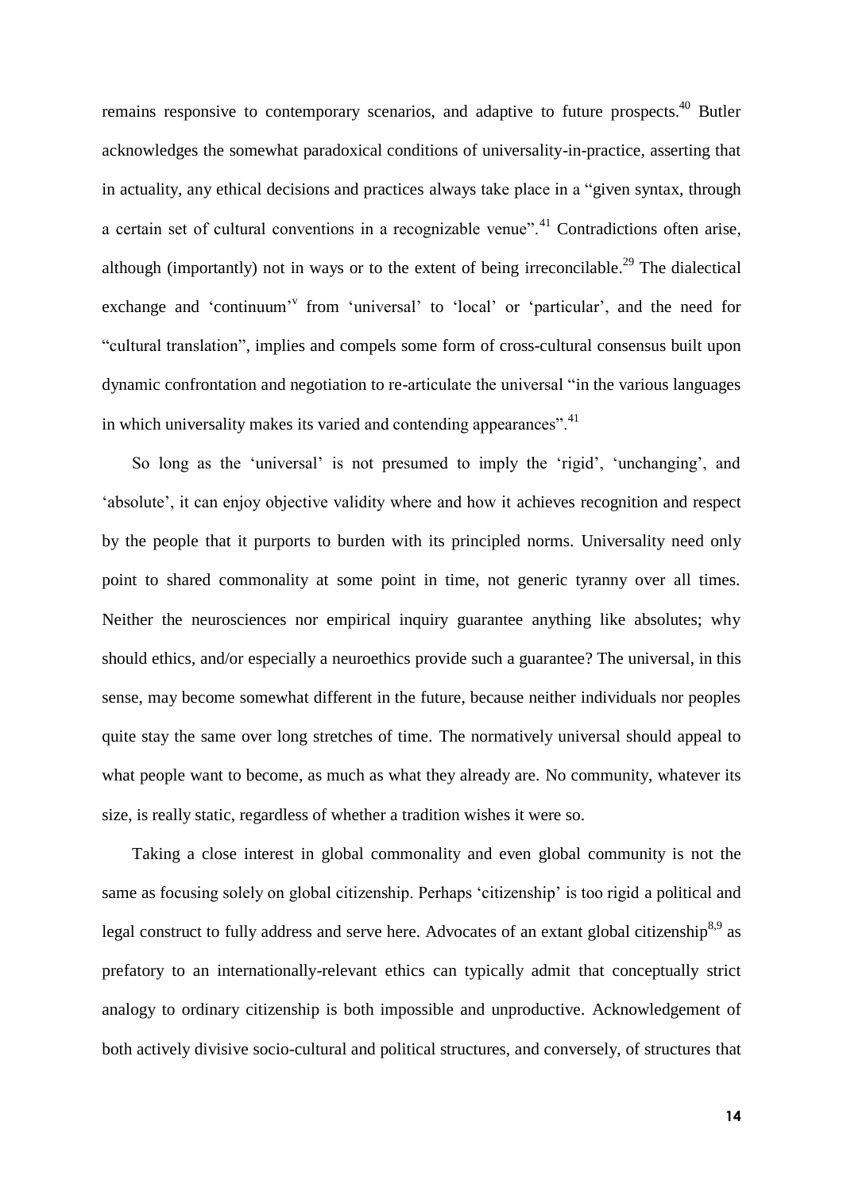remains responsive to contemporary scenarios, and adaptive to future prospects.<sup>40</sup> Butler acknowledges the somewhat paradoxical conditions of universality-in-practice, asserting that in actuality, any ethical decisions and practices always take place in a "given syntax, through a certain set of cultural conventions in a recognizable venue".<sup>41</sup> Contradictions often arise, although (importantly) not in ways or to the extent of being irreconcilable.<sup>29</sup> The dialectical exchange and 'continuum'<sup>v</sup> from 'universal' to 'local' or 'particular', and the need for "cultural translation", implies and compels some form of cross-cultural consensus built upon dynamic confrontation and negotiation to re-articulate the universal "in the various languages in which universality makes its varied and contending appearances".<sup>41</sup>

So long as the 'universal' is not presumed to imply the 'rigid', 'unchanging', and 'absolute', it can enjoy objective validity where and how it achieves recognition and respect by the people that it purports to burden with its principled norms. Universality need only point to shared commonality at some point in time, not generic tyranny over all times. Neither the neurosciences nor empirical inquiry guarantee anything like absolutes; why should ethics, and/or especially a neuroethics provide such a guarantee? The universal, in this sense, may become somewhat different in the future, because neither individuals nor peoples quite stay the same over long stretches of time. The normatively universal should appeal to what people want to become, as much as what they already are. No community, whatever its size, is really static, regardless of whether a tradition wishes it were so.

Taking a close interest in global commonality and even global community is not the same as focusing solely on global citizenship. Perhaps 'citizenship' is too rigid a political and legal construct to fully address and serve here. Advocates of an extant global citizenship<sup>8,9</sup> as prefatory to an internationally-relevant ethics can typically admit that conceptually strict analogy to ordinary citizenship is both impossible and unproductive. Acknowledgement of both actively divisive socio-cultural and political structures, and conversely, of structures that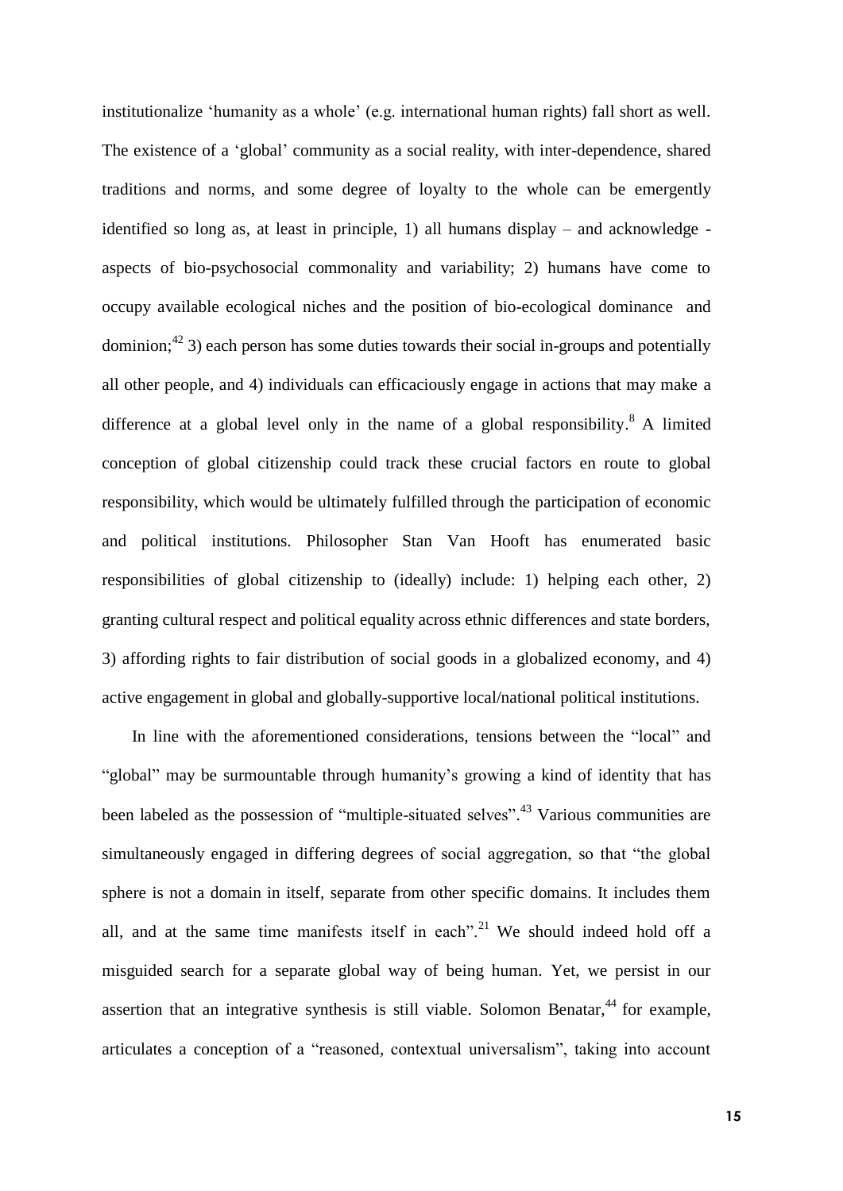institutionalize 'humanity as a whole' (e.g. international human rights) fall short as well. The existence of a 'global' community as a social reality, with inter-dependence, shared traditions and norms, and some degree of loyalty to the whole can be emergently identified so long as, at least in principle, 1) all humans display – and acknowledge aspects of bio-psychosocial commonality and variability; 2) humans have come to occupy available ecological niches and the position of bio-ecological dominance and dominion; $^{42}$  3) each person has some duties towards their social in-groups and potentially all other people, and 4) individuals can efficaciously engage in actions that may make a difference at a global level only in the name of a global responsibility.<sup>8</sup> A limited conception of global citizenship could track these crucial factors en route to global responsibility, which would be ultimately fulfilled through the participation of economic and political institutions. Philosopher Stan Van Hooft has enumerated basic responsibilities of global citizenship to (ideally) include: 1) helping each other, 2) granting cultural respect and political equality across ethnic differences and state borders, 3) affording rights to fair distribution of social goods in a globalized economy, and 4) active engagement in global and globally-supportive local/national political institutions.

In line with the aforementioned considerations, tensions between the "local" and "global" may be surmountable through humanity's growing a kind of identity that has been labeled as the possession of "multiple-situated selves".<sup>43</sup> Various communities are simultaneously engaged in differing degrees of social aggregation, so that "the global sphere is not a domain in itself, separate from other specific domains. It includes them all, and at the same time manifests itself in each".<sup>21</sup> We should indeed hold off a misguided search for a separate global way of being human. Yet, we persist in our assertion that an integrative synthesis is still viable. Solomon Benatar,<sup>44</sup> for example, articulates a conception of a "reasoned, contextual universalism", taking into account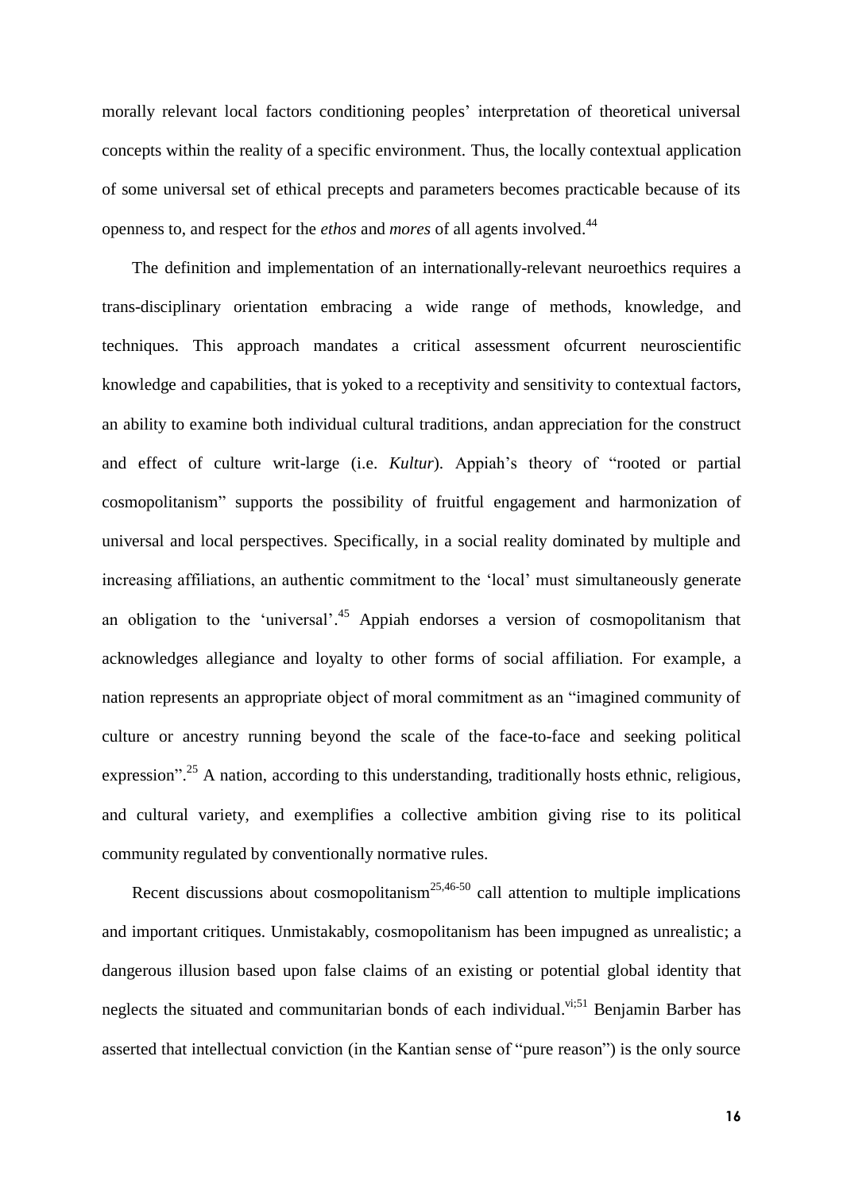morally relevant local factors conditioning peoples' interpretation of theoretical universal concepts within the reality of a specific environment. Thus, the locally contextual application of some universal set of ethical precepts and parameters becomes practicable because of its openness to, and respect for the *ethos* and *mores* of all agents involved. 44

The definition and implementation of an internationally-relevant neuroethics requires a trans-disciplinary orientation embracing a wide range of methods, knowledge, and techniques. This approach mandates a critical assessment ofcurrent neuroscientific knowledge and capabilities, that is yoked to a receptivity and sensitivity to contextual factors, an ability to examine both individual cultural traditions, andan appreciation for the construct and effect of culture writ-large (i.e. *Kultur*). Appiah's theory of "rooted or partial cosmopolitanism" supports the possibility of fruitful engagement and harmonization of universal and local perspectives. Specifically, in a social reality dominated by multiple and increasing affiliations, an authentic commitment to the 'local' must simultaneously generate an obligation to the 'universal'.<sup>45</sup> Appiah endorses a version of cosmopolitanism that acknowledges allegiance and loyalty to other forms of social affiliation. For example, a nation represents an appropriate object of moral commitment as an "imagined community of culture or ancestry running beyond the scale of the face-to-face and seeking political expression".<sup>25</sup> A nation, according to this understanding, traditionally hosts ethnic, religious, and cultural variety, and exemplifies a collective ambition giving rise to its political community regulated by conventionally normative rules.

Recent discussions about cosmopolitanism<sup>25,46-50</sup> call attention to multiple implications and important critiques. Unmistakably, cosmopolitanism has been impugned as unrealistic; a dangerous illusion based upon false claims of an existing or potential global identity that neglects the situated and communitarian bonds of each individual.<sup>vi;51</sup> Benjamin Barber has asserted that intellectual conviction (in the Kantian sense of "pure reason") is the only source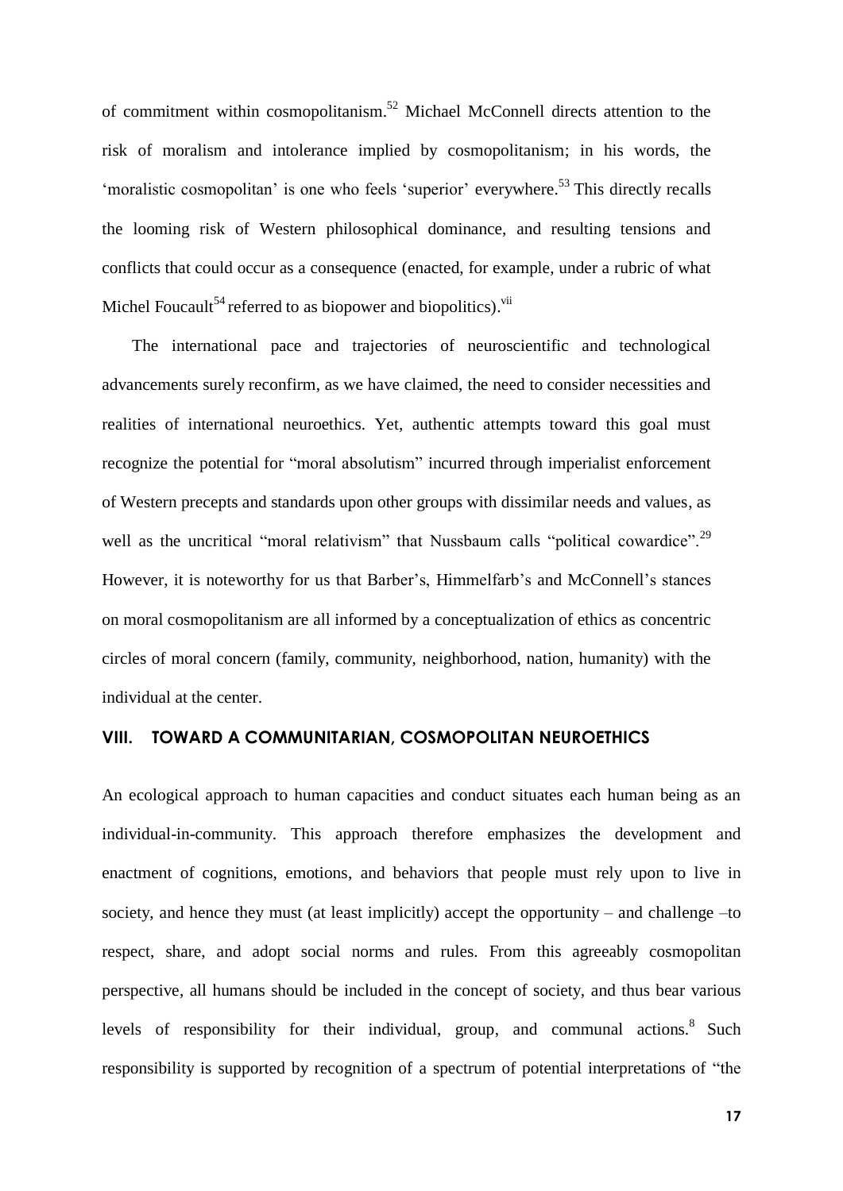of commitment within cosmopolitanism.<sup>52</sup> Michael McConnell directs attention to the risk of moralism and intolerance implied by cosmopolitanism; in his words, the 'moralistic cosmopolitan' is one who feels 'superior' everywhere.<sup>53</sup> This directly recalls the looming risk of Western philosophical dominance, and resulting tensions and conflicts that could occur as a consequence (enacted, for example, under a rubric of what Michel Foucault<sup>54</sup> referred to as biopower and biopolitics).<sup>vii</sup>

The international pace and trajectories of neuroscientific and technological advancements surely reconfirm, as we have claimed, the need to consider necessities and realities of international neuroethics. Yet, authentic attempts toward this goal must recognize the potential for "moral absolutism" incurred through imperialist enforcement of Western precepts and standards upon other groups with dissimilar needs and values, as well as the uncritical "moral relativism" that Nussbaum calls "political cowardice".<sup>29</sup> However, it is noteworthy for us that Barber's, Himmelfarb's and McConnell's stances on moral cosmopolitanism are all informed by a conceptualization of ethics as concentric circles of moral concern (family, community, neighborhood, nation, humanity) with the individual at the center.

### **VIII. TOWARD A COMMUNITARIAN, COSMOPOLITAN NEUROETHICS**

An ecological approach to human capacities and conduct situates each human being as an individual-in-community. This approach therefore emphasizes the development and enactment of cognitions, emotions, and behaviors that people must rely upon to live in society, and hence they must (at least implicitly) accept the opportunity – and challenge –to respect, share, and adopt social norms and rules. From this agreeably cosmopolitan perspective, all humans should be included in the concept of society, and thus bear various levels of responsibility for their individual, group, and communal actions.<sup>8</sup> Such responsibility is supported by recognition of a spectrum of potential interpretations of "the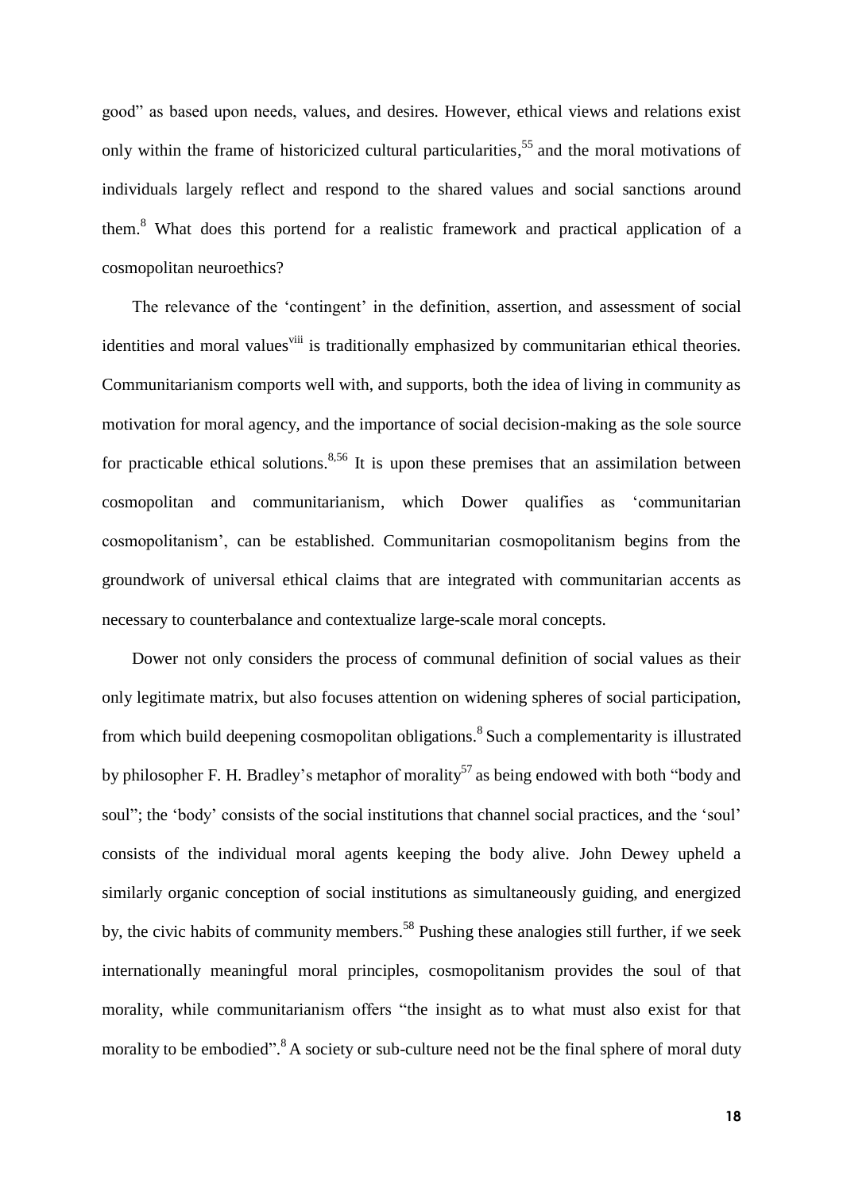good" as based upon needs, values, and desires. However, ethical views and relations exist only within the frame of historicized cultural particularities, 55 and the moral motivations of individuals largely reflect and respond to the shared values and social sanctions around them. <sup>8</sup> What does this portend for a realistic framework and practical application of a cosmopolitan neuroethics?

The relevance of the 'contingent' in the definition, assertion, and assessment of social identities and moral values<sup>viii</sup> is traditionally emphasized by communitarian ethical theories. Communitarianism comports well with, and supports, both the idea of living in community as motivation for moral agency, and the importance of social decision-making as the sole source for practicable ethical solutions.<sup>8,56</sup> It is upon these premises that an assimilation between cosmopolitan and communitarianism, which Dower qualifies as 'communitarian cosmopolitanism', can be established. Communitarian cosmopolitanism begins from the groundwork of universal ethical claims that are integrated with communitarian accents as necessary to counterbalance and contextualize large-scale moral concepts.

Dower not only considers the process of communal definition of social values as their only legitimate matrix, but also focuses attention on widening spheres of social participation, from which build deepening cosmopolitan obligations.<sup>8</sup> Such a complementarity is illustrated by philosopher F. H. Bradley's metaphor of morality<sup>57</sup> as being endowed with both "body and soul"; the 'body' consists of the social institutions that channel social practices, and the 'soul' consists of the individual moral agents keeping the body alive. John Dewey upheld a similarly organic conception of social institutions as simultaneously guiding, and energized by, the civic habits of community members.<sup>58</sup> Pushing these analogies still further, if we seek internationally meaningful moral principles, cosmopolitanism provides the soul of that morality, while communitarianism offers "the insight as to what must also exist for that morality to be embodied".<sup>8</sup> A society or sub-culture need not be the final sphere of moral duty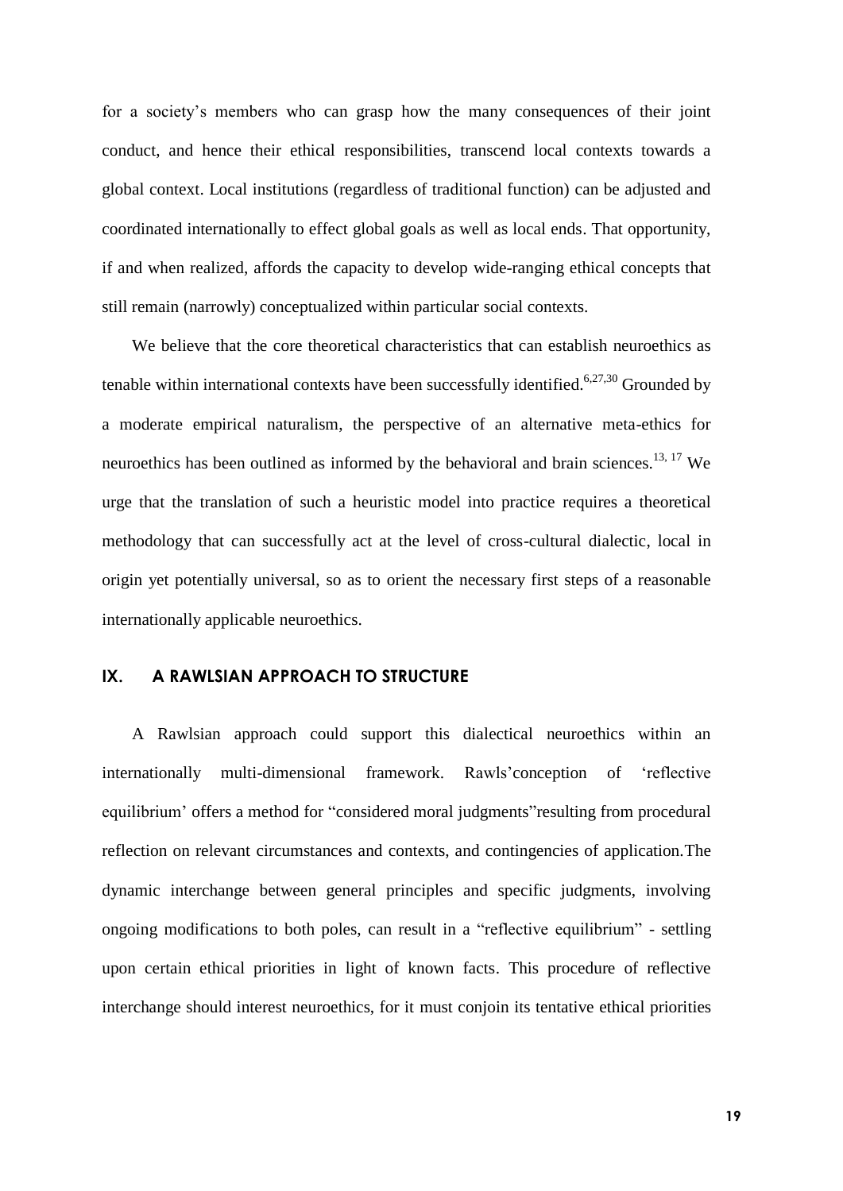for a society's members who can grasp how the many consequences of their joint conduct, and hence their ethical responsibilities, transcend local contexts towards a global context. Local institutions (regardless of traditional function) can be adjusted and coordinated internationally to effect global goals as well as local ends. That opportunity, if and when realized, affords the capacity to develop wide-ranging ethical concepts that still remain (narrowly) conceptualized within particular social contexts.

We believe that the core theoretical characteristics that can establish neuroethics as tenable within international contexts have been successfully identified.<sup>6,27,30</sup> Grounded by a moderate empirical naturalism, the perspective of an alternative meta-ethics for neuroethics has been outlined as informed by the behavioral and brain sciences.<sup>13, 17</sup> We urge that the translation of such a heuristic model into practice requires a theoretical methodology that can successfully act at the level of cross-cultural dialectic, local in origin yet potentially universal, so as to orient the necessary first steps of a reasonable internationally applicable neuroethics.

## **IX. A RAWLSIAN APPROACH TO STRUCTURE**

A Rawlsian approach could support this dialectical neuroethics within an internationally multi-dimensional framework. Rawls'conception of 'reflective equilibrium' offers a method for "considered moral judgments"resulting from procedural reflection on relevant circumstances and contexts, and contingencies of application.The dynamic interchange between general principles and specific judgments, involving ongoing modifications to both poles, can result in a "reflective equilibrium" - settling upon certain ethical priorities in light of known facts. This procedure of reflective interchange should interest neuroethics, for it must conjoin its tentative ethical priorities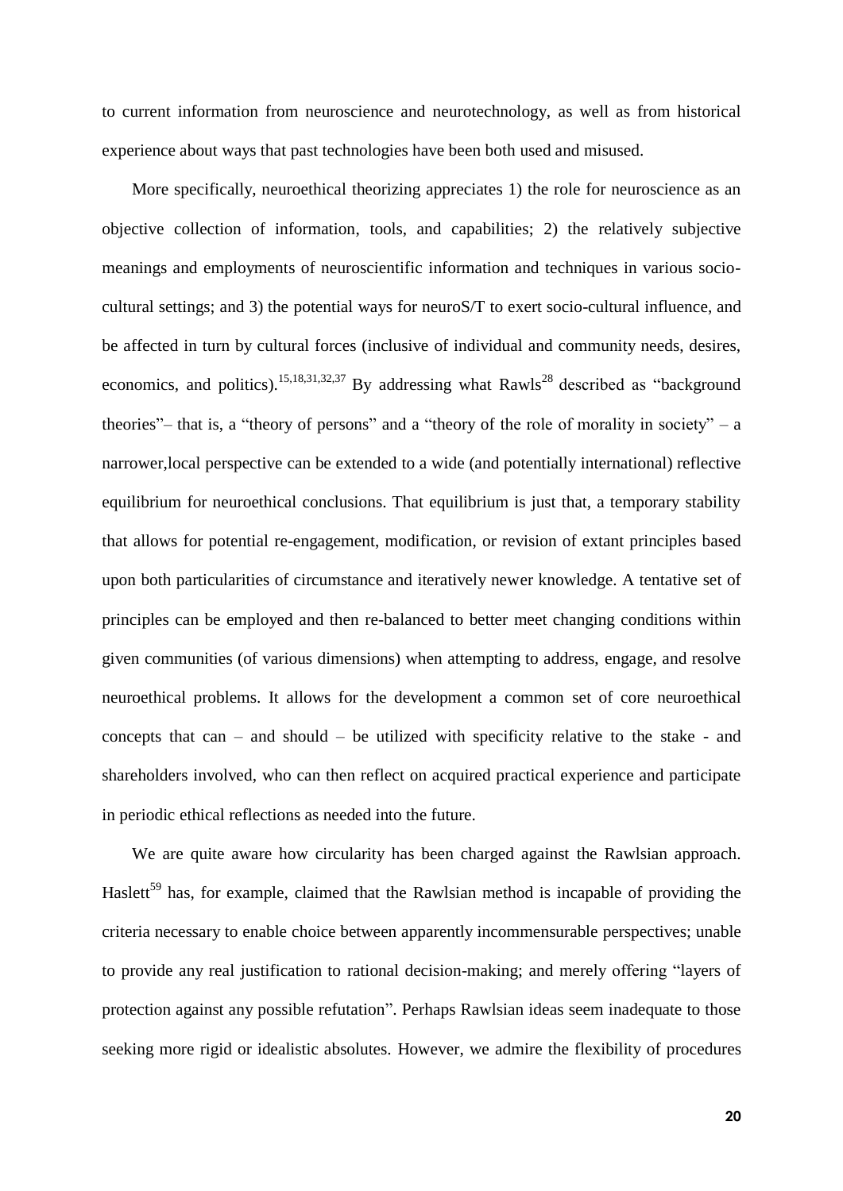to current information from neuroscience and neurotechnology, as well as from historical experience about ways that past technologies have been both used and misused.

More specifically, neuroethical theorizing appreciates 1) the role for neuroscience as an objective collection of information, tools, and capabilities; 2) the relatively subjective meanings and employments of neuroscientific information and techniques in various sociocultural settings; and 3) the potential ways for neuroS/T to exert socio-cultural influence, and be affected in turn by cultural forces (inclusive of individual and community needs, desires, economics, and politics).<sup>15,18,31,32,37</sup> By addressing what Rawls<sup>28</sup> described as "background" theories"– that is, a "theory of persons" and a "theory of the role of morality in society" – a narrower,local perspective can be extended to a wide (and potentially international) reflective equilibrium for neuroethical conclusions. That equilibrium is just that, a temporary stability that allows for potential re-engagement, modification, or revision of extant principles based upon both particularities of circumstance and iteratively newer knowledge. A tentative set of principles can be employed and then re-balanced to better meet changing conditions within given communities (of various dimensions) when attempting to address, engage, and resolve neuroethical problems. It allows for the development a common set of core neuroethical concepts that can – and should – be utilized with specificity relative to the stake - and shareholders involved, who can then reflect on acquired practical experience and participate in periodic ethical reflections as needed into the future.

We are quite aware how circularity has been charged against the Rawlsian approach. Haslett<sup>59</sup> has, for example, claimed that the Rawlsian method is incapable of providing the criteria necessary to enable choice between apparently incommensurable perspectives; unable to provide any real justification to rational decision-making; and merely offering "layers of protection against any possible refutation". Perhaps Rawlsian ideas seem inadequate to those seeking more rigid or idealistic absolutes. However, we admire the flexibility of procedures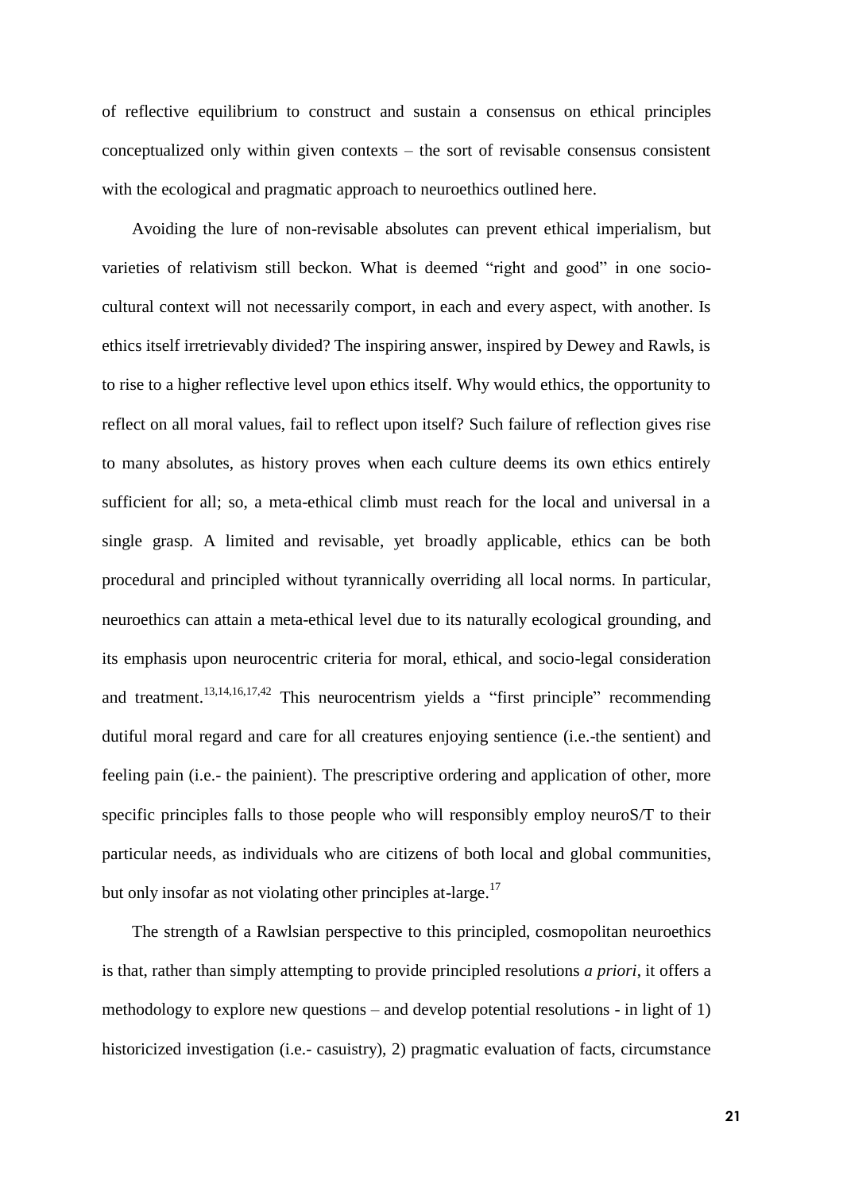of reflective equilibrium to construct and sustain a consensus on ethical principles conceptualized only within given contexts – the sort of revisable consensus consistent with the ecological and pragmatic approach to neuroethics outlined here.

Avoiding the lure of non-revisable absolutes can prevent ethical imperialism, but varieties of relativism still beckon. What is deemed "right and good" in one sociocultural context will not necessarily comport, in each and every aspect, with another. Is ethics itself irretrievably divided? The inspiring answer, inspired by Dewey and Rawls, is to rise to a higher reflective level upon ethics itself. Why would ethics, the opportunity to reflect on all moral values, fail to reflect upon itself? Such failure of reflection gives rise to many absolutes, as history proves when each culture deems its own ethics entirely sufficient for all; so, a meta-ethical climb must reach for the local and universal in a single grasp. A limited and revisable, yet broadly applicable, ethics can be both procedural and principled without tyrannically overriding all local norms. In particular, neuroethics can attain a meta-ethical level due to its naturally ecological grounding, and its emphasis upon neurocentric criteria for moral, ethical, and socio-legal consideration and treatment.<sup>13,14,16,17,42</sup> This neurocentrism yields a "first principle" recommending dutiful moral regard and care for all creatures enjoying sentience (i.e.-the sentient) and feeling pain (i.e.- the painient). The prescriptive ordering and application of other, more specific principles falls to those people who will responsibly employ neuroS/T to their particular needs, as individuals who are citizens of both local and global communities, but only insofar as not violating other principles at-large.<sup>17</sup>

The strength of a Rawlsian perspective to this principled, cosmopolitan neuroethics is that, rather than simply attempting to provide principled resolutions *a priori*, it offers a methodology to explore new questions – and develop potential resolutions - in light of 1) historicized investigation (i.e.- casuistry), 2) pragmatic evaluation of facts, circumstance

**21**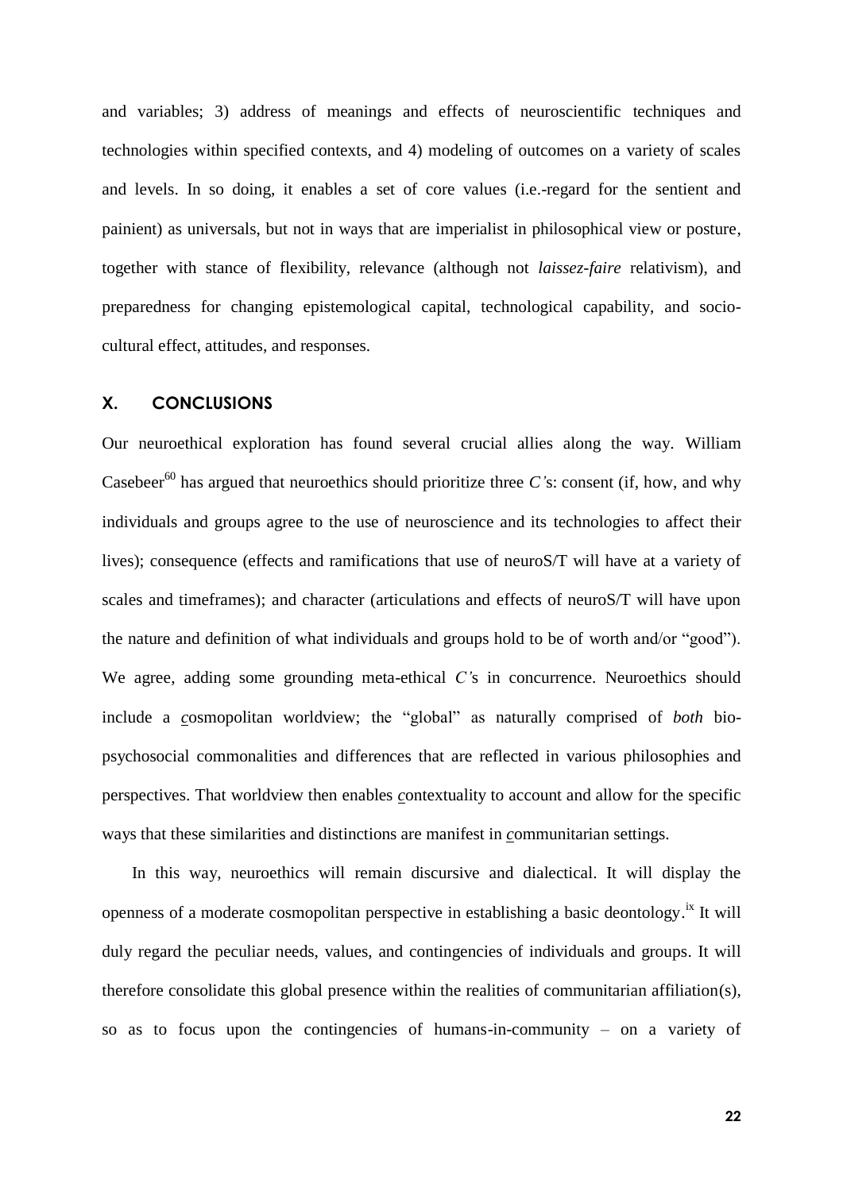and variables; 3) address of meanings and effects of neuroscientific techniques and technologies within specified contexts, and 4) modeling of outcomes on a variety of scales and levels. In so doing, it enables a set of core values (i.e.-regard for the sentient and painient) as universals, but not in ways that are imperialist in philosophical view or posture, together with stance of flexibility, relevance (although not *laissez-faire* relativism), and preparedness for changing epistemological capital, technological capability, and sociocultural effect, attitudes, and responses.

#### **X. CONCLUSIONS**

Our neuroethical exploration has found several crucial allies along the way. William Casebeer<sup>60</sup> has argued that neuroethics should prioritize three *C*'s: consent (if, how, and why individuals and groups agree to the use of neuroscience and its technologies to affect their lives); consequence (effects and ramifications that use of neuroS/T will have at a variety of scales and timeframes); and character (articulations and effects of neuroS/T will have upon the nature and definition of what individuals and groups hold to be of worth and/or "good"). We agree, adding some grounding meta-ethical *C'*s in concurrence. Neuroethics should include a *c*osmopolitan worldview; the "global" as naturally comprised of *both* biopsychosocial commonalities and differences that are reflected in various philosophies and perspectives. That worldview then enables *c*ontextuality to account and allow for the specific ways that these similarities and distinctions are manifest in *c*ommunitarian settings.

In this way, neuroethics will remain discursive and dialectical. It will display the openness of a moderate cosmopolitan perspective in establishing a basic deontology.<sup>ix</sup> It will duly regard the peculiar needs, values, and contingencies of individuals and groups. It will therefore consolidate this global presence within the realities of communitarian affiliation(s), so as to focus upon the contingencies of humans-in-community – on a variety of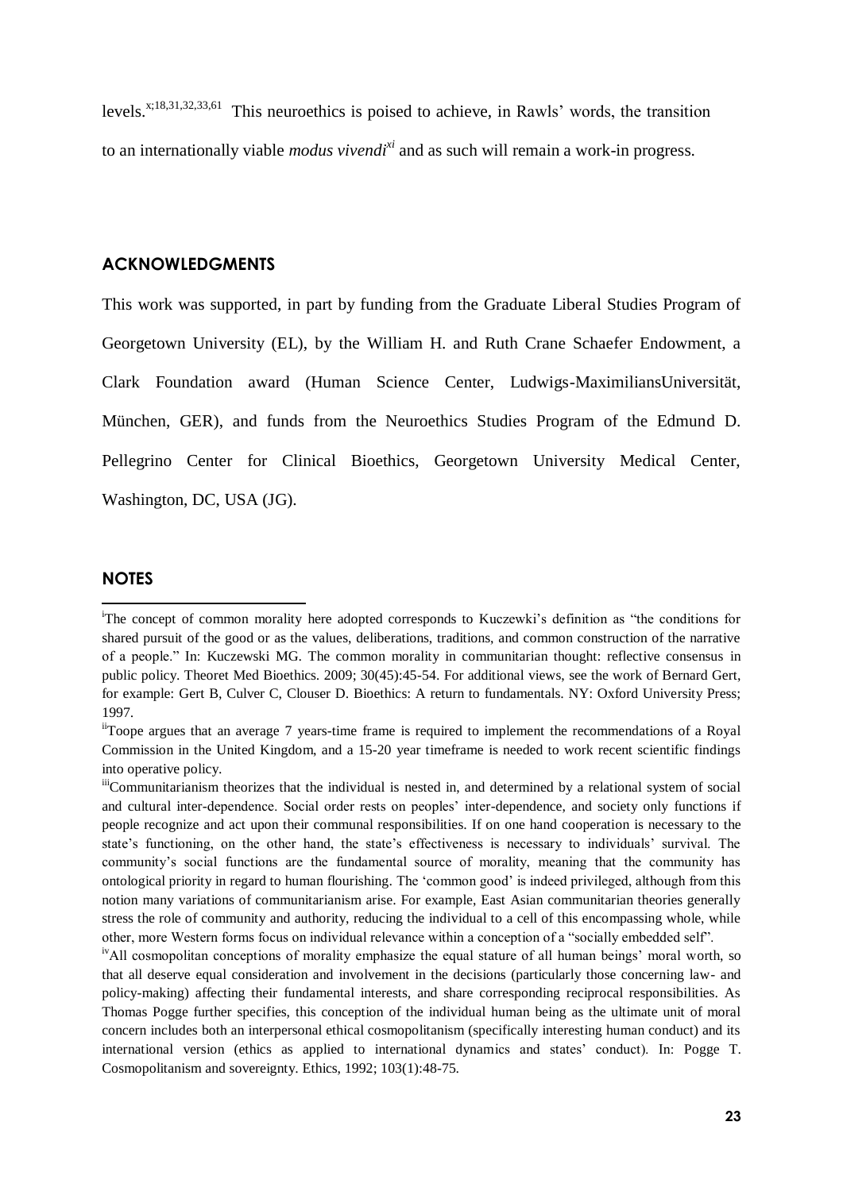levels.<sup> $x;18,31,32,33,61$ </sup> This neuroethics is poised to achieve, in Rawls' words, the transition to an internationally viable *modus vivendi<sup>xi</sup>* and as such will remain a work-in progress.

### **ACKNOWLEDGMENTS**

This work was supported, in part by funding from the Graduate Liberal Studies Program of Georgetown University (EL), by the William H. and Ruth Crane Schaefer Endowment, a Clark Foundation award (Human Science Center, Ludwigs-MaximiliansUniversität, München, GER), and funds from the Neuroethics Studies Program of the Edmund D. Pellegrino Center for Clinical Bioethics, Georgetown University Medical Center, Washington, DC, USA (JG).

### **NOTES**

1

<sup>&</sup>lt;sup>i</sup>The concept of common morality here adopted corresponds to Kuczewki's definition as "the conditions for shared pursuit of the good or as the values, deliberations, traditions, and common construction of the narrative of a people." In: Kuczewski MG. The common morality in communitarian thought: reflective consensus in public policy. Theoret Med Bioethics. 2009; 30(45):45-54. For additional views, see the work of Bernard Gert, for example: Gert B, Culver C, Clouser D. Bioethics: A return to fundamentals. NY: Oxford University Press; 1997.

iiToope argues that an average 7 years-time frame is required to implement the recommendations of a Royal Commission in the United Kingdom, and a 15-20 year timeframe is needed to work recent scientific findings into operative policy.

iiiCommunitarianism theorizes that the individual is nested in, and determined by a relational system of social and cultural inter-dependence. Social order rests on peoples' inter-dependence, and society only functions if people recognize and act upon their communal responsibilities. If on one hand cooperation is necessary to the state's functioning, on the other hand, the state's effectiveness is necessary to individuals' survival. The community's social functions are the fundamental source of morality, meaning that the community has ontological priority in regard to human flourishing. The 'common good' is indeed privileged, although from this notion many variations of communitarianism arise. For example, East Asian communitarian theories generally stress the role of community and authority, reducing the individual to a cell of this encompassing whole, while other, more Western forms focus on individual relevance within a conception of a "socially embedded self".

<sup>&</sup>lt;sup>iv</sup>All cosmopolitan conceptions of morality emphasize the equal stature of all human beings' moral worth, so that all deserve equal consideration and involvement in the decisions (particularly those concerning law- and policy-making) affecting their fundamental interests, and share corresponding reciprocal responsibilities. As Thomas Pogge further specifies, this conception of the individual human being as the ultimate unit of moral concern includes both an interpersonal ethical cosmopolitanism (specifically interesting human conduct) and its international version (ethics as applied to international dynamics and states' conduct). In: Pogge T. Cosmopolitanism and sovereignty. Ethics, 1992; 103(1):48-75.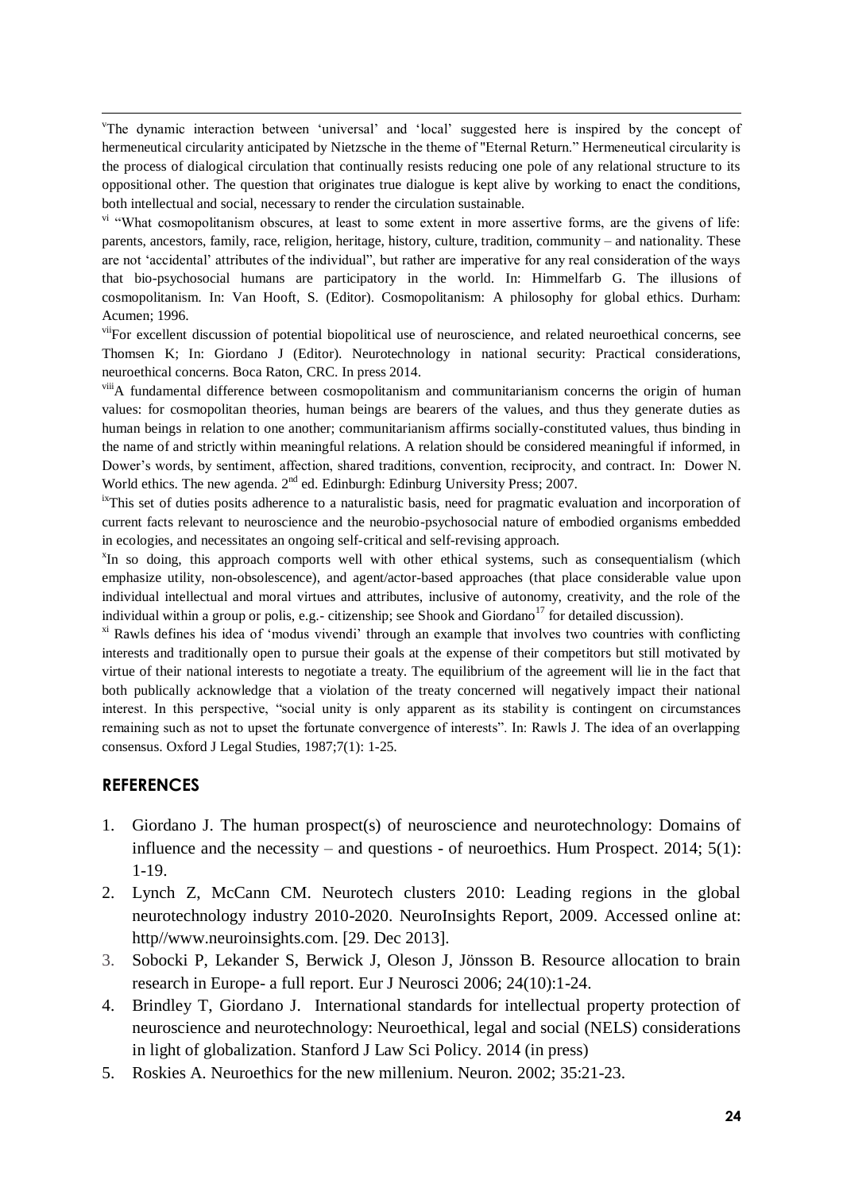1 v The dynamic interaction between 'universal' and 'local' suggested here is inspired by the concept of hermeneutical circularity anticipated by Nietzsche in the theme of "Eternal Return." Hermeneutical circularity is the process of dialogical circulation that continually resists reducing one pole of any relational structure to its oppositional other. The question that originates true dialogue is kept alive by working to enact the conditions, both intellectual and social, necessary to render the circulation sustainable.

<sup>vi</sup> "What cosmopolitanism obscures, at least to some extent in more assertive forms, are the givens of life: parents, ancestors, family, race, religion, heritage, history, culture, tradition, community – and nationality. These are not 'accidental' attributes of the individual", but rather are imperative for any real consideration of the ways that bio-psychosocial humans are participatory in the world. In: Himmelfarb G. The illusions of cosmopolitanism. In: Van Hooft, S. (Editor). Cosmopolitanism: A philosophy for global ethics. Durham: Acumen; 1996.

<sup>vii</sup>For excellent discussion of potential biopolitical use of neuroscience, and related neuroethical concerns, see Thomsen K; In: Giordano J (Editor). Neurotechnology in national security: Practical considerations, neuroethical concerns. Boca Raton, CRC. In press 2014.

<sup>viii</sup>A fundamental difference between cosmopolitanism and communitarianism concerns the origin of human values: for cosmopolitan theories, human beings are bearers of the values, and thus they generate duties as human beings in relation to one another; communitarianism affirms socially-constituted values, thus binding in the name of and strictly within meaningful relations. A relation should be considered meaningful if informed, in Dower's words, by sentiment, affection, shared traditions, convention, reciprocity, and contract. In: Dower N. World ethics. The new agenda. 2<sup>nd</sup> ed. Edinburgh: Edinburg University Press; 2007.

<sup>ix</sup>This set of duties posits adherence to a naturalistic basis, need for pragmatic evaluation and incorporation of current facts relevant to neuroscience and the neurobio-psychosocial nature of embodied organisms embedded in ecologies, and necessitates an ongoing self-critical and self-revising approach.

<sup>x</sup>In so doing, this approach comports well with other ethical systems, such as consequentialism (which emphasize utility, non-obsolescence), and agent/actor-based approaches (that place considerable value upon individual intellectual and moral virtues and attributes, inclusive of autonomy, creativity, and the role of the individual within a group or polis, e.g.- citizenship; see Shook and Giordano<sup>17</sup> for detailed discussion).

<sup>xi</sup> Rawls defines his idea of 'modus vivendi' through an example that involves two countries with conflicting interests and traditionally open to pursue their goals at the expense of their competitors but still motivated by virtue of their national interests to negotiate a treaty. The equilibrium of the agreement will lie in the fact that both publically acknowledge that a violation of the treaty concerned will negatively impact their national interest. In this perspective, "social unity is only apparent as its stability is contingent on circumstances remaining such as not to upset the fortunate convergence of interests". In: Rawls J. The idea of an overlapping consensus. Oxford J Legal Studies, 1987;7(1): 1-25.

#### **REFERENCES**

- 1. Giordano J. The human prospect(s) of neuroscience and neurotechnology: Domains of influence and the necessity – and questions - of neuroethics. Hum Prospect.  $2014$ ;  $5(1)$ : 1-19.
- 2. Lynch Z, McCann CM. Neurotech clusters 2010: Leading regions in the global neurotechnology industry 2010-2020. NeuroInsights Report, 2009. Accessed online at: http//www.neuroinsights.com. [29. Dec 2013].
- 3. Sobocki P, Lekander S, Berwick J, Oleson J, Jönsson B. Resource allocation to brain research in Europe- a full report. Eur J Neurosci 2006; 24(10):1-24.
- 4. Brindley T, Giordano J. International standards for intellectual property protection of neuroscience and neurotechnology: Neuroethical, legal and social (NELS) considerations in light of globalization. Stanford J Law Sci Policy. 2014 (in press)
- 5. Roskies A. Neuroethics for the new millenium. Neuron*.* 2002; 35:21-23.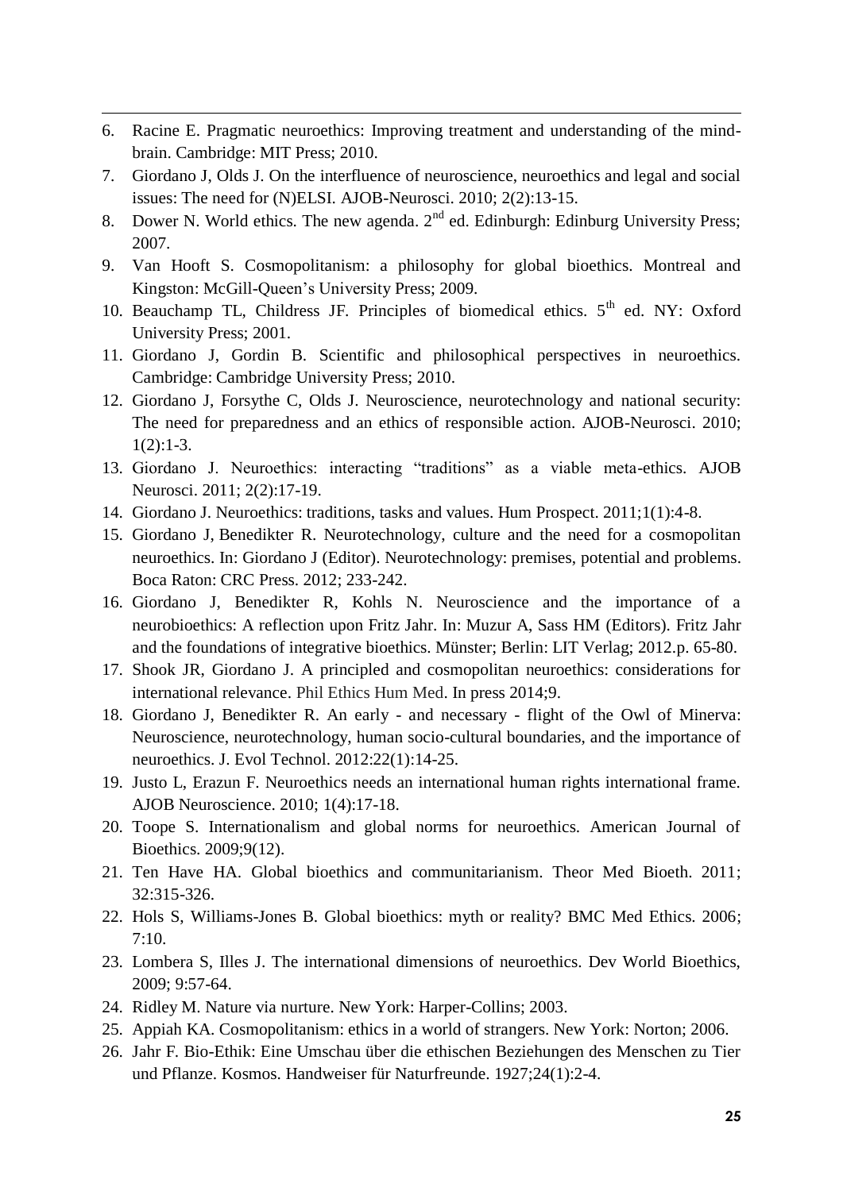6. Racine E. Pragmatic neuroethics: Improving treatment and understanding of the mindbrain. Cambridge: MIT Press; 2010.

1

- 7. Giordano J, Olds J. On the interfluence of neuroscience, neuroethics and legal and social issues: The need for (N)ELSI. AJOB-Neurosci. 2010; 2(2):13-15.
- 8. Dower N. World ethics. The new agenda.  $2<sup>nd</sup>$  ed. Edinburgh: Edinburg University Press; 2007.
- 9. Van Hooft S. Cosmopolitanism: a philosophy for global bioethics. Montreal and Kingston: McGill-Queen's University Press; 2009.
- 10. Beauchamp TL, Childress JF. Principles of biomedical ethics. 5<sup>th</sup> ed. NY: Oxford University Press; 2001.
- 11. Giordano J, Gordin B. Scientific and philosophical perspectives in neuroethics. Cambridge: Cambridge University Press; 2010.
- 12. Giordano J, Forsythe C, Olds J. Neuroscience, neurotechnology and national security: The need for preparedness and an ethics of responsible action. AJOB-Neurosci. 2010;  $1(2):1-3.$
- 13. Giordano J. Neuroethics: interacting "traditions" as a viable meta-ethics. AJOB Neurosci. 2011; 2(2):17-19.
- 14. Giordano J. Neuroethics: traditions, tasks and values. Hum Prospect. 2011;1(1):4-8.
- 15. Giordano J, Benedikter R. Neurotechnology, culture and the need for a cosmopolitan neuroethics. In: Giordano J (Editor). Neurotechnology: premises, potential and problems. Boca Raton: CRC Press. 2012; 233-242.
- 16. Giordano J, Benedikter R, Kohls N. Neuroscience and the importance of a neurobioethics: A reflection upon Fritz Jahr. In: Muzur A, Sass HM (Editors). Fritz Jahr and the foundations of integrative bioethics. Münster; Berlin: LIT Verlag; 2012.p. 65-80.
- 17. Shook JR, Giordano J. A principled and cosmopolitan neuroethics: considerations for international relevance. Phil Ethics Hum Med. In press 2014;9.
- 18. Giordano J, Benedikter R. An early and necessary flight of the Owl of Minerva: Neuroscience, neurotechnology, human socio-cultural boundaries, and the importance of neuroethics. J. Evol Technol. 2012:22(1):14-25.
- 19. Justo L, Erazun F. Neuroethics needs an international human rights international frame. AJOB Neuroscience. 2010; 1(4):17-18.
- 20. Toope S. Internationalism and global norms for neuroethics. American Journal of Bioethics. 2009;9(12).
- 21. Ten Have HA. Global bioethics and communitarianism. Theor Med Bioeth. 2011; 32:315-326.
- 22. Hols S, Williams-Jones B. Global bioethics: myth or reality? BMC Med Ethics. 2006;  $7:10.$
- 23. Lombera S, Illes J. The international dimensions of neuroethics. Dev World Bioethics, 2009; 9:57-64.
- 24. Ridley M. Nature via nurture. New York: Harper-Collins; 2003.
- 25. Appiah KA. Cosmopolitanism: ethics in a world of strangers. New York: Norton; 2006.
- 26. Jahr F. Bio-Ethik: Eine Umschau über die ethischen Beziehungen des Menschen zu Tier und Pflanze. Kosmos. Handweiser für Naturfreunde. 1927;24(1):2-4.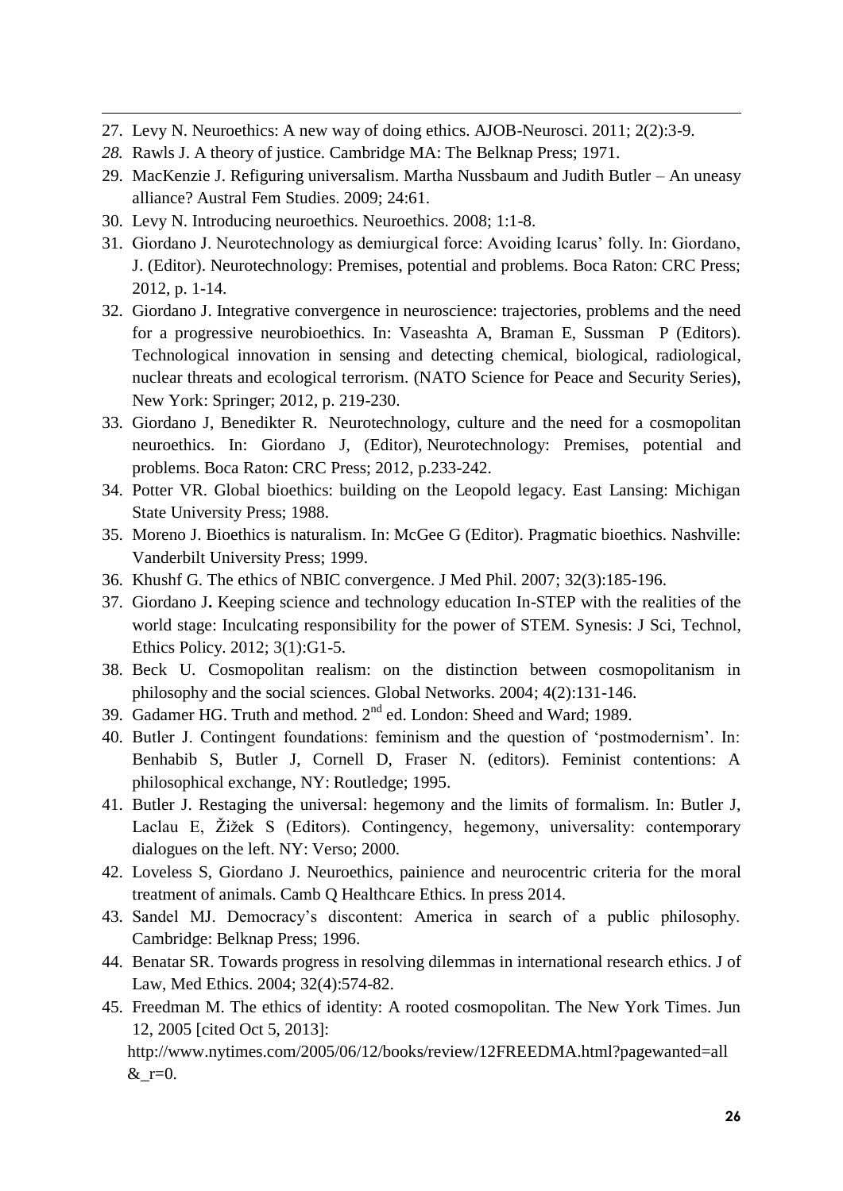- 1 27. Levy N. Neuroethics: A new way of doing ethics. AJOB-Neurosci. 2011; 2(2):3-9.
- *28.* Rawls J. A theory of justice*.* Cambridge MA: The Belknap Press; 1971.
- 29. MacKenzie J. Refiguring universalism. Martha Nussbaum and Judith Butler An uneasy alliance? Austral Fem Studies. 2009; 24:61.
- 30. Levy N. Introducing neuroethics. Neuroethics. 2008; 1:1-8.
- 31. Giordano J. Neurotechnology as demiurgical force: Avoiding Icarus' folly. In: Giordano, J. (Editor). Neurotechnology: Premises, potential and problems. Boca Raton: CRC Press; 2012, p. 1-14.
- 32. Giordano J. Integrative convergence in neuroscience: trajectories, problems and the need for a progressive neurobioethics. In: Vaseashta A, Braman E, Sussman P (Editors). Technological innovation in sensing and detecting chemical, biological, radiological, nuclear threats and ecological terrorism. (NATO Science for Peace and Security Series), New York: Springer; 2012, p. 219-230.
- 33. Giordano J, Benedikter R. Neurotechnology, culture and the need for a cosmopolitan neuroethics. In: Giordano J, (Editor), Neurotechnology: Premises, potential and problems. Boca Raton: CRC Press; 2012, p.233-242.
- 34. Potter VR. Global bioethics: building on the Leopold legacy. East Lansing: Michigan State University Press; 1988.
- 35. Moreno J. Bioethics is naturalism. In: McGee G (Editor). Pragmatic bioethics. Nashville: Vanderbilt University Press; 1999.
- 36. Khushf G. The ethics of NBIC convergence. J Med Phil. 2007; 32(3):185-196.
- 37. Giordano J**.** Keeping science and technology education In-STEP with the realities of the world stage: Inculcating responsibility for the power of STEM. Synesis: J Sci, Technol, Ethics Policy. 2012; 3(1):G1-5.
- 38. Beck U. Cosmopolitan realism: on the distinction between cosmopolitanism in philosophy and the social sciences. Global Networks. 2004; 4(2):131-146.
- 39. Gadamer HG. Truth and method.  $2<sup>nd</sup>$  ed. London: Sheed and Ward; 1989.
- 40. Butler J. Contingent foundations: feminism and the question of 'postmodernism'. In: Benhabib S, Butler J, Cornell D, Fraser N. (editors). Feminist contentions: A philosophical exchange, NY: Routledge; 1995.
- 41. Butler J. Restaging the universal: hegemony and the limits of formalism. In: Butler J, Laclau E, Žižek S (Editors). Contingency, hegemony, universality: contemporary dialogues on the left. NY: Verso; 2000.
- 42. Loveless S, Giordano J. Neuroethics, painience and neurocentric criteria for the moral treatment of animals. Camb Q Healthcare Ethics. In press 2014.
- 43. Sandel MJ. Democracy's discontent: America in search of a public philosophy. Cambridge: Belknap Press; 1996.
- 44. Benatar SR. Towards progress in resolving dilemmas in international research ethics. J of Law, Med Ethics. 2004; 32(4):574-82.
- 45. Freedman M. The ethics of identity: A rooted cosmopolitan. The New York Times. Jun 12, 2005 [cited Oct 5, 2013]:

http://www.nytimes.com/2005/06/12/books/review/12FREEDMA.html?pagewanted=all  $&$ \_r=0.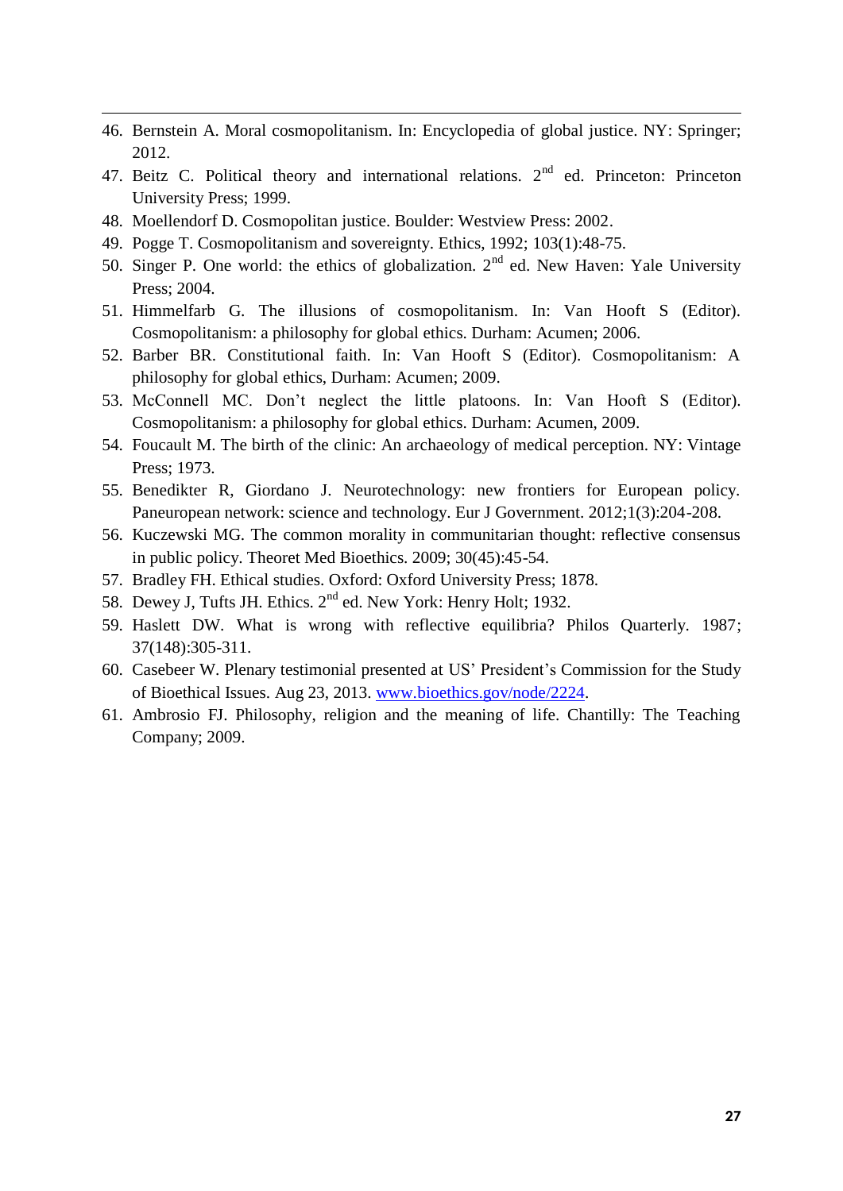- 46. Bernstein A. Moral cosmopolitanism. In: Encyclopedia of global justice. NY: Springer; 2012.
- 47. Beitz C. Political theory and international relations. 2<sup>nd</sup> ed. Princeton: Princeton University Press; 1999.
- 48. Moellendorf D. Cosmopolitan justice. Boulder: Westview Press: 2002.

1

- 49. Pogge T. Cosmopolitanism and sovereignty. Ethics, 1992; 103(1):48-75.
- 50. Singer P. One world: the ethics of globalization.  $2<sup>nd</sup>$  ed. New Haven: Yale University Press; 2004.
- 51. Himmelfarb G. The illusions of cosmopolitanism. In: Van Hooft S (Editor). Cosmopolitanism: a philosophy for global ethics. Durham: Acumen; 2006.
- 52. Barber BR. Constitutional faith. In: Van Hooft S (Editor). Cosmopolitanism: A philosophy for global ethics, Durham: Acumen; 2009.
- 53. McConnell MC. Don't neglect the little platoons. In: Van Hooft S (Editor). Cosmopolitanism: a philosophy for global ethics. Durham: Acumen, 2009.
- 54. Foucault M. The birth of the clinic: An archaeology of medical perception. NY: Vintage Press; 1973.
- 55. Benedikter R, Giordano J. Neurotechnology: new frontiers for European policy. Paneuropean network: science and technology. Eur J Government. 2012;1(3):204-208.
- 56. Kuczewski MG. The common morality in communitarian thought: reflective consensus in public policy. Theoret Med Bioethics. 2009; 30(45):45-54.
- 57. Bradley FH. Ethical studies. Oxford: Oxford University Press; 1878.
- 58. Dewey J, Tufts JH. Ethics.  $2^{nd}$  ed. New York: Henry Holt; 1932.
- 59. Haslett DW. What is wrong with reflective equilibria? Philos Quarterly. 1987; 37(148):305-311.
- 60. Casebeer W. Plenary testimonial presented at US' President's Commission for the Study of Bioethical Issues. Aug 23, 2013. [www.bioethics.gov/node/2224.](http://www.bioethics.gov/node/2224)
- 61. Ambrosio FJ. Philosophy, religion and the meaning of life. Chantilly: The Teaching Company; 2009.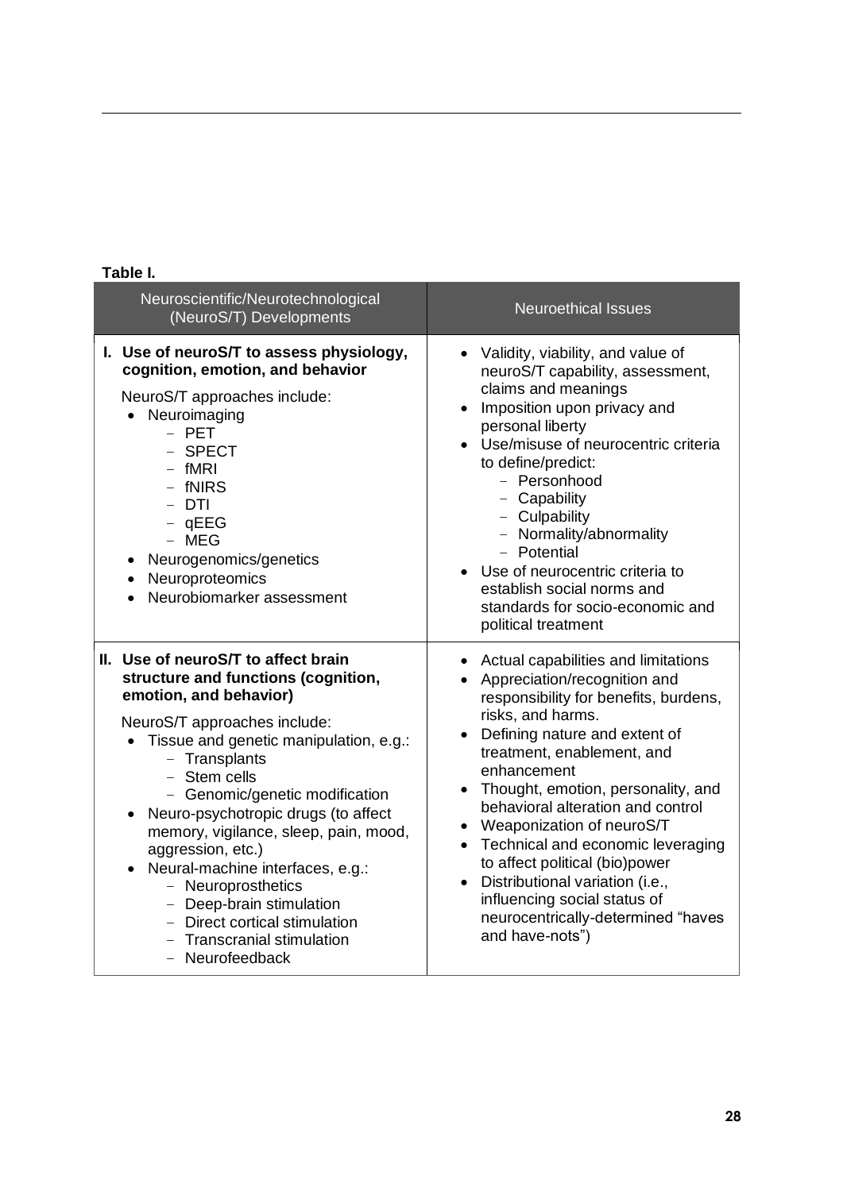|  | ۰, | ł |  |
|--|----|---|--|
|  |    |   |  |

1

| Neuroscientific/Neurotechnological<br>(NeuroS/T) Developments                                                                                                                                                                                                                                                                                                                                                                                                                                                                                            | <b>Neuroethical Issues</b>                                                                                                                                                                                                                                                                                                                                                                                                                                                                                                                                              |  |
|----------------------------------------------------------------------------------------------------------------------------------------------------------------------------------------------------------------------------------------------------------------------------------------------------------------------------------------------------------------------------------------------------------------------------------------------------------------------------------------------------------------------------------------------------------|-------------------------------------------------------------------------------------------------------------------------------------------------------------------------------------------------------------------------------------------------------------------------------------------------------------------------------------------------------------------------------------------------------------------------------------------------------------------------------------------------------------------------------------------------------------------------|--|
| I. Use of neuroS/T to assess physiology,<br>cognition, emotion, and behavior<br>NeuroS/T approaches include:<br>• Neuroimaging<br>$-$ PET<br>- SPECT<br>$-$ fMRI<br>- fNIRS<br>- DTI<br>$-$ qEEG<br>$-$ MEG<br>Neurogenomics/genetics<br>Neuroproteomics<br>Neurobiomarker assessment                                                                                                                                                                                                                                                                    | • Validity, viability, and value of<br>neuroS/T capability, assessment,<br>claims and meanings<br>Imposition upon privacy and<br>personal liberty<br>• Use/misuse of neurocentric criteria<br>to define/predict:<br>- Personhood<br>- Capability<br>- Culpability<br>- Normality/abnormality<br>- Potential<br>• Use of neurocentric criteria to<br>establish social norms and<br>standards for socio-economic and<br>political treatment                                                                                                                               |  |
| II. Use of neuroS/T to affect brain<br>structure and functions (cognition,<br>emotion, and behavior)<br>NeuroS/T approaches include:<br>Tissue and genetic manipulation, e.g.:<br>- Transplants<br>- Stem cells<br>- Genomic/genetic modification<br>Neuro-psychotropic drugs (to affect<br>$\bullet$<br>memory, vigilance, sleep, pain, mood,<br>aggression, etc.)<br>Neural-machine interfaces, e.g.:<br>$\bullet$<br>- Neuroprosthetics<br>- Deep-brain stimulation<br>- Direct cortical stimulation<br>- Transcranial stimulation<br>- Neurofeedback | Actual capabilities and limitations<br>$\bullet$<br>Appreciation/recognition and<br>$\bullet$<br>responsibility for benefits, burdens,<br>risks, and harms.<br>Defining nature and extent of<br>treatment, enablement, and<br>enhancement<br>• Thought, emotion, personality, and<br>behavioral alteration and control<br>• Weaponization of neuroS/T<br>• Technical and economic leveraging<br>to affect political (bio)power<br>Distributional variation (i.e.,<br>$\bullet$<br>influencing social status of<br>neurocentrically-determined "haves<br>and have-nots") |  |